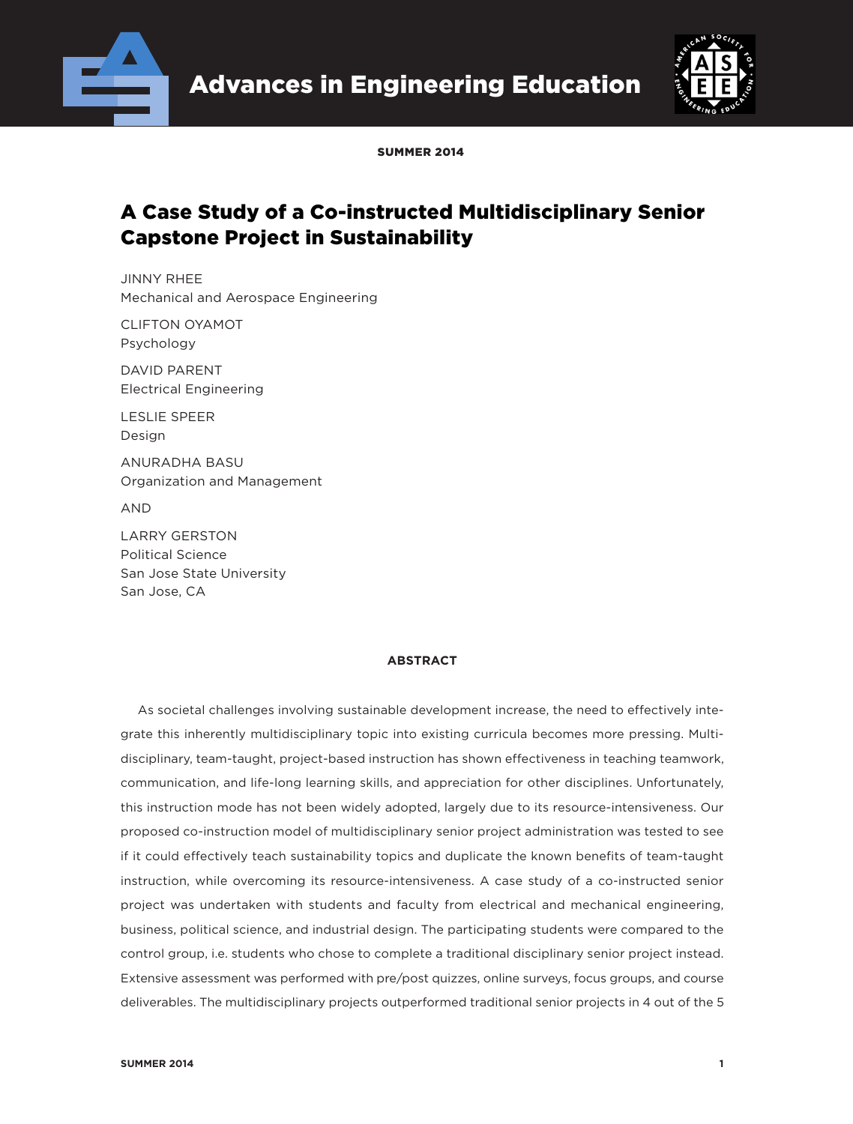



SUMMED 2014

# A Case Study of a Co-instructed Multidisciplinary Senior Capstone Project in Sustainability

JINNY RHEE Mechanical and Aerospace Engineering

CLIFTON OYAMOT Psychology

DAVID PARENT Electrical Engineering

LESLIE SPEER Design

ANURADHA BASU Organization and Management

AND

LARRY GERSTON Political Science San Jose State University San Jose, CA

### **ABSTRACT**

As societal challenges involving sustainable development increase, the need to effectively integrate this inherently multidisciplinary topic into existing curricula becomes more pressing. Multidisciplinary, team-taught, project-based instruction has shown effectiveness in teaching teamwork, communication, and life-long learning skills, and appreciation for other disciplines. Unfortunately, this instruction mode has not been widely adopted, largely due to its resource-intensiveness. Our proposed co-instruction model of multidisciplinary senior project administration was tested to see if it could effectively teach sustainability topics and duplicate the known benefits of team-taught instruction, while overcoming its resource-intensiveness. A case study of a co-instructed senior project was undertaken with students and faculty from electrical and mechanical engineering, business, political science, and industrial design. The participating students were compared to the control group, i.e. students who chose to complete a traditional disciplinary senior project instead. Extensive assessment was performed with pre/post quizzes, online surveys, focus groups, and course deliverables. The multidisciplinary projects outperformed traditional senior projects in 4 out of the 5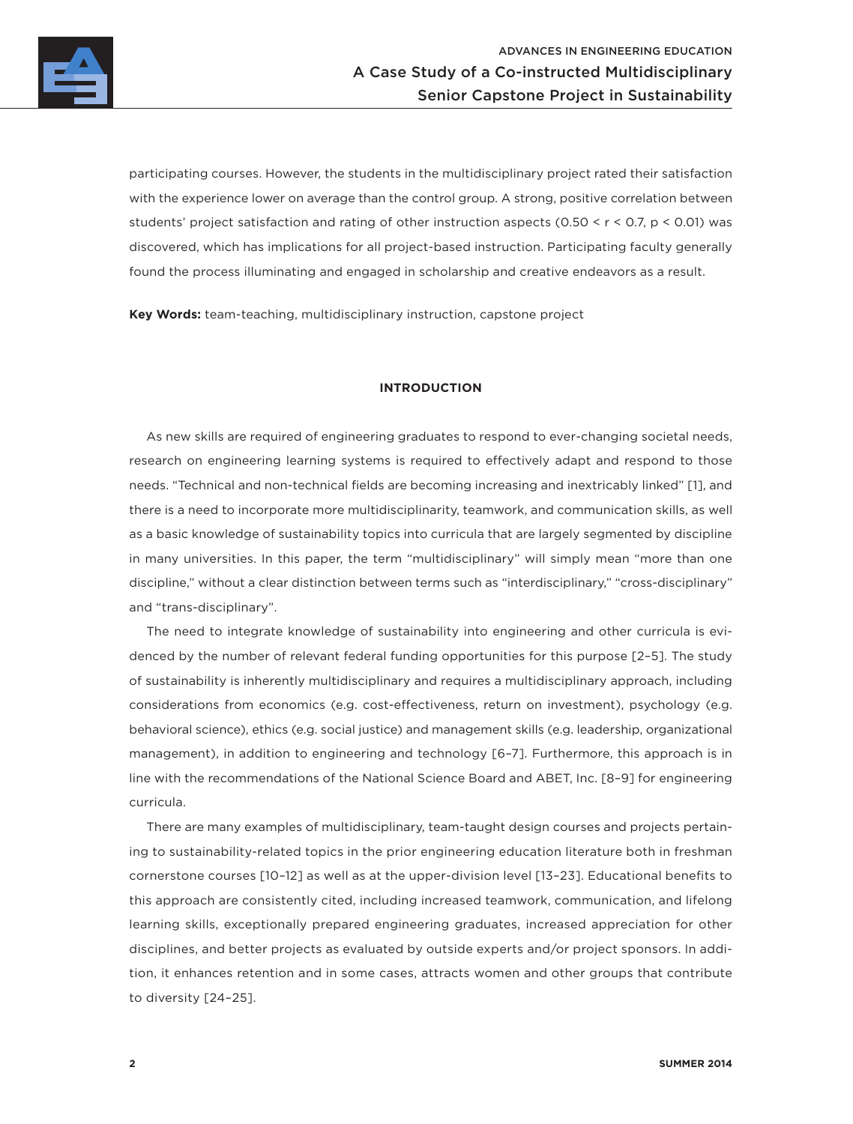

participating courses. However, the students in the multidisciplinary project rated their satisfaction with the experience lower on average than the control group. A strong, positive correlation between students' project satisfaction and rating of other instruction aspects (0.50 < r < 0.7, p < 0.01) was discovered, which has implications for all project-based instruction. Participating faculty generally found the process illuminating and engaged in scholarship and creative endeavors as a result.

**Key Words:** team-teaching, multidisciplinary instruction, capstone project

### **INTRODUCTION**

As new skills are required of engineering graduates to respond to ever-changing societal needs, research on engineering learning systems is required to effectively adapt and respond to those needs. "Technical and non-technical fields are becoming increasing and inextricably linked" [1], and there is a need to incorporate more multidisciplinarity, teamwork, and communication skills, as well as a basic knowledge of sustainability topics into curricula that are largely segmented by discipline in many universities. In this paper, the term "multidisciplinary" will simply mean "more than one discipline," without a clear distinction between terms such as "interdisciplinary," "cross-disciplinary" and "trans-disciplinary".

The need to integrate knowledge of sustainability into engineering and other curricula is evidenced by the number of relevant federal funding opportunities for this purpose [2–5]. The study of sustainability is inherently multidisciplinary and requires a multidisciplinary approach, including considerations from economics (e.g. cost-effectiveness, return on investment), psychology (e.g. behavioral science), ethics (e.g. social justice) and management skills (e.g. leadership, organizational management), in addition to engineering and technology [6–7]. Furthermore, this approach is in line with the recommendations of the National Science Board and ABET, Inc. [8–9] for engineering curricula.

There are many examples of multidisciplinary, team-taught design courses and projects pertaining to sustainability-related topics in the prior engineering education literature both in freshman cornerstone courses [10–12] as well as at the upper-division level [13–23]. Educational benefits to this approach are consistently cited, including increased teamwork, communication, and lifelong learning skills, exceptionally prepared engineering graduates, increased appreciation for other disciplines, and better projects as evaluated by outside experts and/or project sponsors. In addition, it enhances retention and in some cases, attracts women and other groups that contribute to diversity [24–25].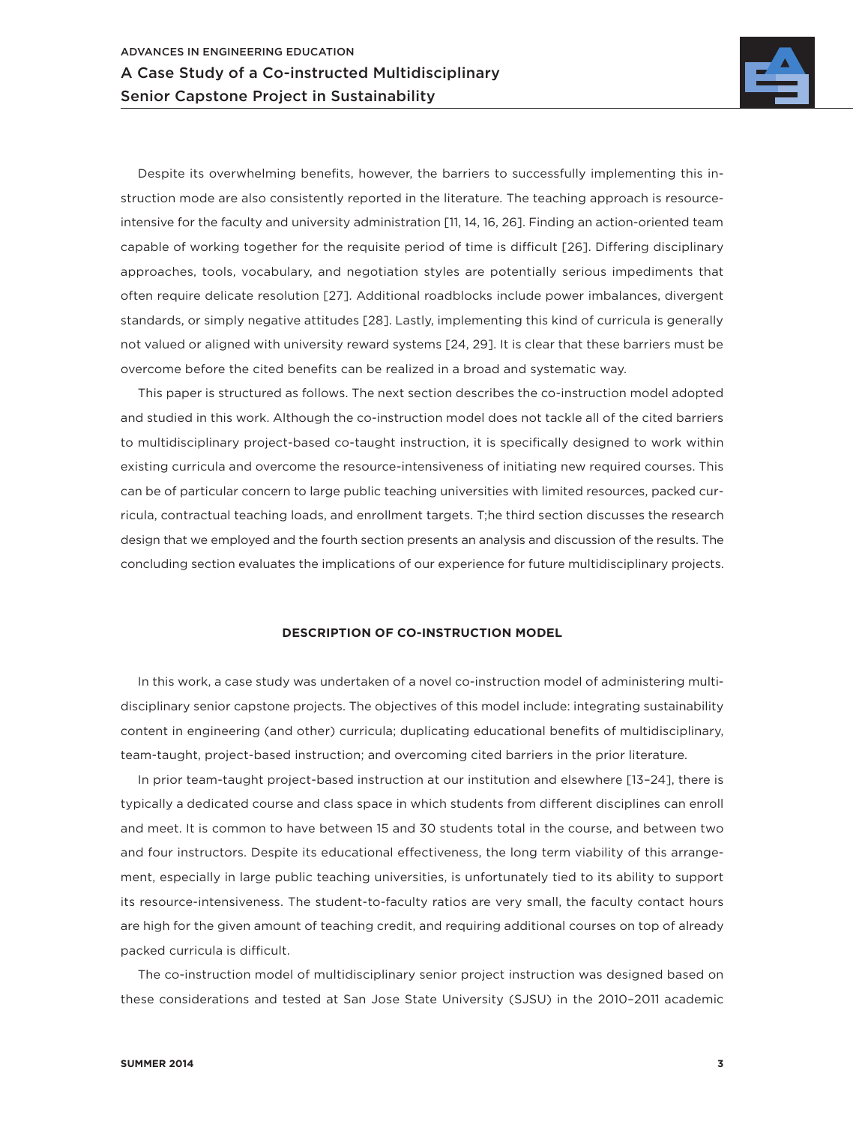

Despite its overwhelming benefits, however, the barriers to successfully implementing this instruction mode are also consistently reported in the literature. The teaching approach is resourceintensive for the faculty and university administration [11, 14, 16, 26]. Finding an action-oriented team capable of working together for the requisite period of time is difficult [26]. Differing disciplinary approaches, tools, vocabulary, and negotiation styles are potentially serious impediments that often require delicate resolution [27]. Additional roadblocks include power imbalances, divergent standards, or simply negative attitudes [28]. Lastly, implementing this kind of curricula is generally not valued or aligned with university reward systems [24, 29]. It is clear that these barriers must be overcome before the cited benefits can be realized in a broad and systematic way.

This paper is structured as follows. The next section describes the co-instruction model adopted and studied in this work. Although the co-instruction model does not tackle all of the cited barriers to multidisciplinary project-based co-taught instruction, it is specifically designed to work within existing curricula and overcome the resource-intensiveness of initiating new required courses. This can be of particular concern to large public teaching universities with limited resources, packed curricula, contractual teaching loads, and enrollment targets. T;he third section discusses the research design that we employed and the fourth section presents an analysis and discussion of the results. The concluding section evaluates the implications of our experience for future multidisciplinary projects.

### **DESCRIPTION OF CO-INSTRUCTION MODEL**

In this work, a case study was undertaken of a novel co-instruction model of administering multidisciplinary senior capstone projects. The objectives of this model include: integrating sustainability content in engineering (and other) curricula; duplicating educational benefits of multidisciplinary, team-taught, project-based instruction; and overcoming cited barriers in the prior literature.

In prior team-taught project-based instruction at our institution and elsewhere [13–24], there is typically a dedicated course and class space in which students from different disciplines can enroll and meet. It is common to have between 15 and 30 students total in the course, and between two and four instructors. Despite its educational effectiveness, the long term viability of this arrangement, especially in large public teaching universities, is unfortunately tied to its ability to support its resource-intensiveness. The student-to-faculty ratios are very small, the faculty contact hours are high for the given amount of teaching credit, and requiring additional courses on top of already packed curricula is difficult.

The co-instruction model of multidisciplinary senior project instruction was designed based on these considerations and tested at San Jose State University (SJSU) in the 2010–2011 academic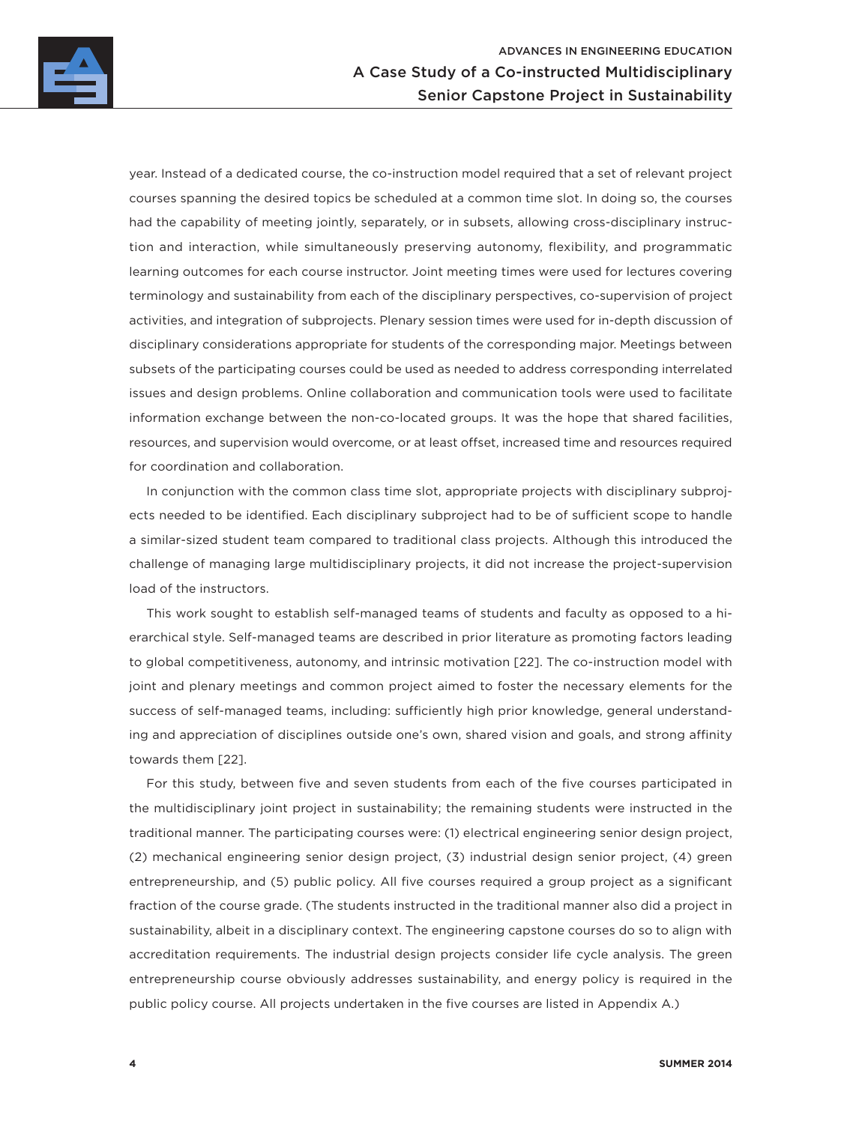

year. Instead of a dedicated course, the co-instruction model required that a set of relevant project courses spanning the desired topics be scheduled at a common time slot. In doing so, the courses had the capability of meeting jointly, separately, or in subsets, allowing cross-disciplinary instruction and interaction, while simultaneously preserving autonomy, flexibility, and programmatic learning outcomes for each course instructor. Joint meeting times were used for lectures covering terminology and sustainability from each of the disciplinary perspectives, co-supervision of project activities, and integration of subprojects. Plenary session times were used for in-depth discussion of disciplinary considerations appropriate for students of the corresponding major. Meetings between subsets of the participating courses could be used as needed to address corresponding interrelated issues and design problems. Online collaboration and communication tools were used to facilitate information exchange between the non-co-located groups. It was the hope that shared facilities, resources, and supervision would overcome, or at least offset, increased time and resources required for coordination and collaboration.

In conjunction with the common class time slot, appropriate projects with disciplinary subprojects needed to be identified. Each disciplinary subproject had to be of sufficient scope to handle a similar-sized student team compared to traditional class projects. Although this introduced the challenge of managing large multidisciplinary projects, it did not increase the project-supervision load of the instructors.

This work sought to establish self-managed teams of students and faculty as opposed to a hierarchical style. Self-managed teams are described in prior literature as promoting factors leading to global competitiveness, autonomy, and intrinsic motivation [22]. The co-instruction model with joint and plenary meetings and common project aimed to foster the necessary elements for the success of self-managed teams, including: sufficiently high prior knowledge, general understanding and appreciation of disciplines outside one's own, shared vision and goals, and strong affinity towards them [22].

For this study, between five and seven students from each of the five courses participated in the multidisciplinary joint project in sustainability; the remaining students were instructed in the traditional manner. The participating courses were: (1) electrical engineering senior design project, (2) mechanical engineering senior design project, (3) industrial design senior project, (4) green entrepreneurship, and (5) public policy. All five courses required a group project as a significant fraction of the course grade. (The students instructed in the traditional manner also did a project in sustainability, albeit in a disciplinary context. The engineering capstone courses do so to align with accreditation requirements. The industrial design projects consider life cycle analysis. The green entrepreneurship course obviously addresses sustainability, and energy policy is required in the public policy course. All projects undertaken in the five courses are listed in Appendix A.)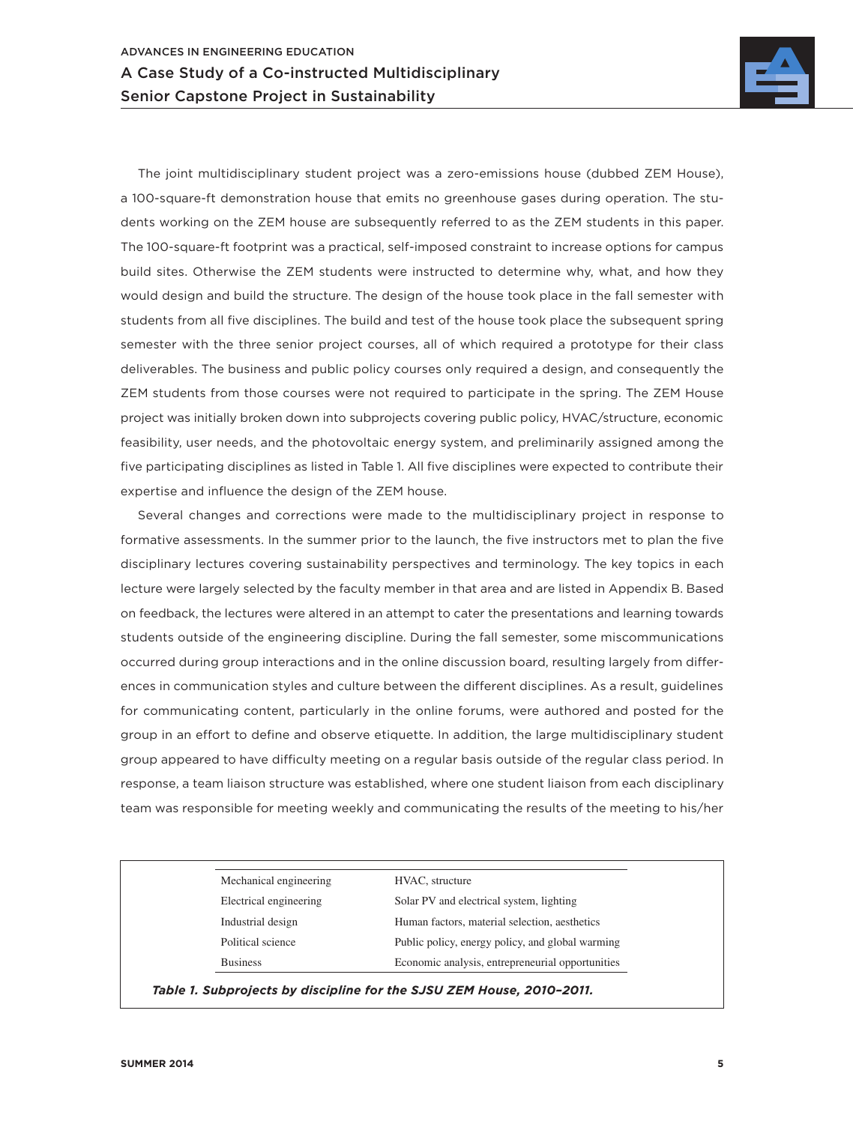

The joint multidisciplinary student project was a zero-emissions house (dubbed ZEM House), a 100-square-ft demonstration house that emits no greenhouse gases during operation. The students working on the ZEM house are subsequently referred to as the ZEM students in this paper. The 100-square-ft footprint was a practical, self-imposed constraint to increase options for campus build sites. Otherwise the ZEM students were instructed to determine why, what, and how they would design and build the structure. The design of the house took place in the fall semester with students from all five disciplines. The build and test of the house took place the subsequent spring semester with the three senior project courses, all of which required a prototype for their class deliverables. The business and public policy courses only required a design, and consequently the ZEM students from those courses were not required to participate in the spring. The ZEM House project was initially broken down into subprojects covering public policy, HVAC/structure, economic feasibility, user needs, and the photovoltaic energy system, and preliminarily assigned among the five participating disciplines as listed in Table 1. All five disciplines were expected to contribute their expertise and influence the design of the ZEM house.

Several changes and corrections were made to the multidisciplinary project in response to formative assessments. In the summer prior to the launch, the five instructors met to plan the five disciplinary lectures covering sustainability perspectives and terminology. The key topics in each lecture were largely selected by the faculty member in that area and are listed in Appendix B. Based on feedback, the lectures were altered in an attempt to cater the presentations and learning towards students outside of the engineering discipline. During the fall semester, some miscommunications occurred during group interactions and in the online discussion board, resulting largely from differences in communication styles and culture between the different disciplines. As a result, guidelines for communicating content, particularly in the online forums, were authored and posted for the group in an effort to define and observe etiquette. In addition, the large multidisciplinary student group appeared to have difficulty meeting on a regular basis outside of the regular class period. In response, a team liaison structure was established, where one student liaison from each disciplinary team was responsible for meeting weekly and communicating the results of the meeting to his/her

| Mechanical engineering | HVAC, structure                                  |
|------------------------|--------------------------------------------------|
| Electrical engineering | Solar PV and electrical system, lighting         |
| Industrial design      | Human factors, material selection, aesthetics    |
| Political science      | Public policy, energy policy, and global warming |
| <b>Business</b>        | Economic analysis, entrepreneurial opportunities |

*Table 1. Subprojects by discipline for the SJSU ZEM House, 2010–2011.*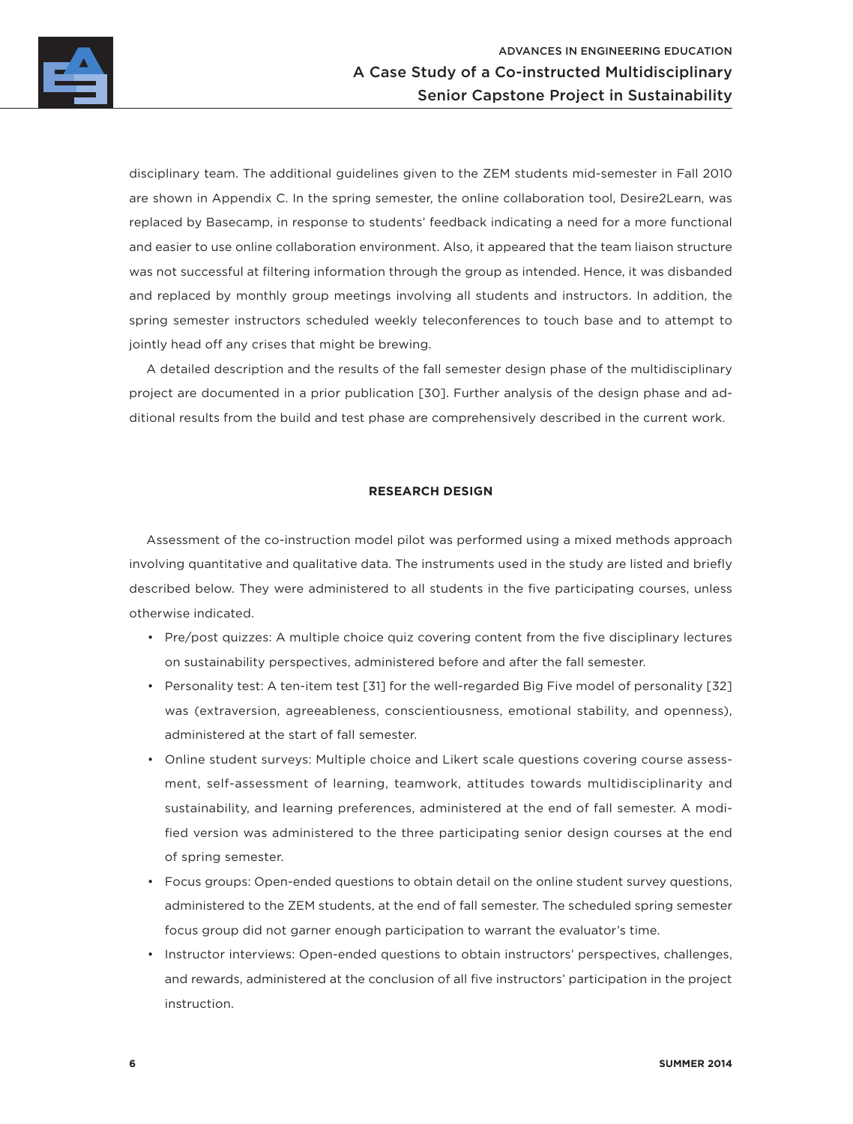

disciplinary team. The additional guidelines given to the ZEM students mid-semester in Fall 2010 are shown in Appendix C. In the spring semester, the online collaboration tool, Desire2Learn, was replaced by Basecamp, in response to students' feedback indicating a need for a more functional and easier to use online collaboration environment. Also, it appeared that the team liaison structure was not successful at filtering information through the group as intended. Hence, it was disbanded and replaced by monthly group meetings involving all students and instructors. In addition, the spring semester instructors scheduled weekly teleconferences to touch base and to attempt to jointly head off any crises that might be brewing.

A detailed description and the results of the fall semester design phase of the multidisciplinary project are documented in a prior publication [30]. Further analysis of the design phase and additional results from the build and test phase are comprehensively described in the current work.

### **RESEARCH DESIGN**

Assessment of the co-instruction model pilot was performed using a mixed methods approach involving quantitative and qualitative data. The instruments used in the study are listed and briefly described below. They were administered to all students in the five participating courses, unless otherwise indicated.

- Pre/post quizzes: A multiple choice quiz covering content from the five disciplinary lectures on sustainability perspectives, administered before and after the fall semester.
- Personality test: A ten-item test [31] for the well-regarded Big Five model of personality [32] was (extraversion, agreeableness, conscientiousness, emotional stability, and openness), administered at the start of fall semester.
- Online student surveys: Multiple choice and Likert scale questions covering course assessment, self-assessment of learning, teamwork, attitudes towards multidisciplinarity and sustainability, and learning preferences, administered at the end of fall semester. A modified version was administered to the three participating senior design courses at the end of spring semester.
- Focus groups: Open-ended questions to obtain detail on the online student survey questions, administered to the ZEM students, at the end of fall semester. The scheduled spring semester focus group did not garner enough participation to warrant the evaluator's time.
- Instructor interviews: Open-ended questions to obtain instructors' perspectives, challenges, and rewards, administered at the conclusion of all five instructors' participation in the project instruction.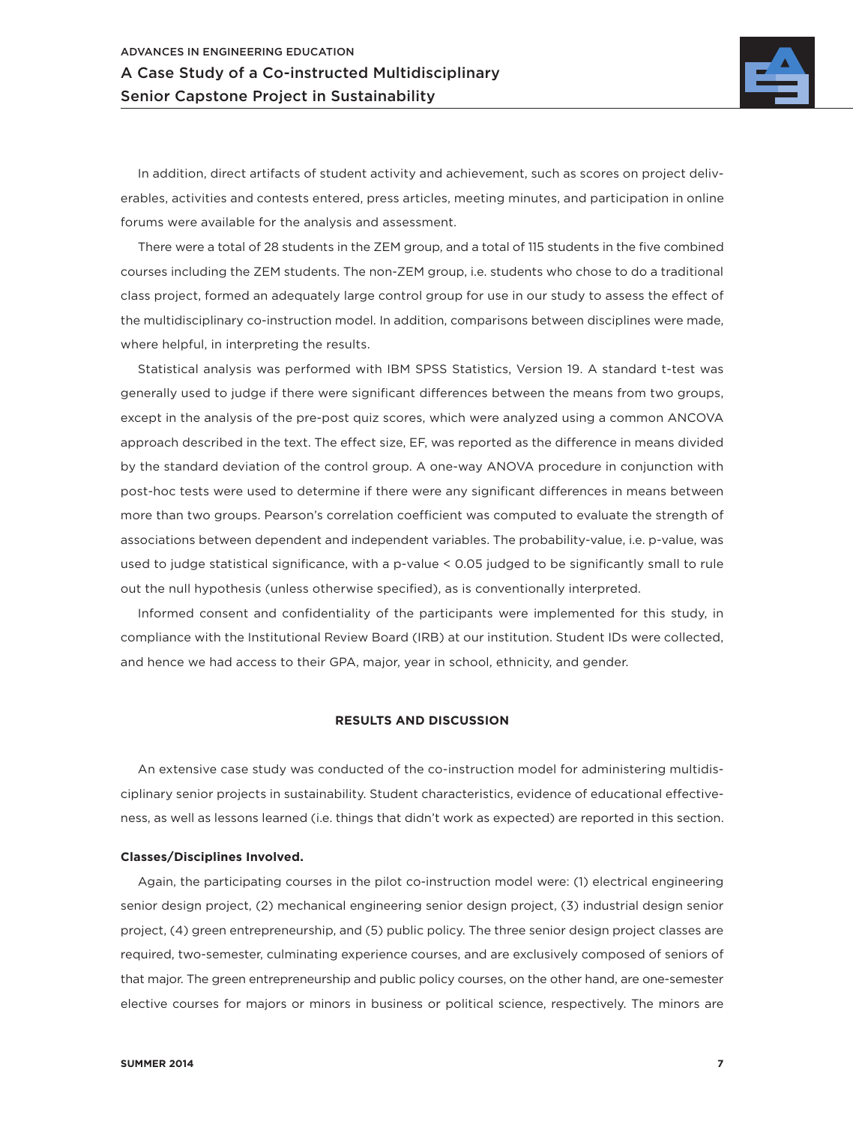

In addition, direct artifacts of student activity and achievement, such as scores on project deliverables, activities and contests entered, press articles, meeting minutes, and participation in online forums were available for the analysis and assessment.

There were a total of 28 students in the ZEM group, and a total of 115 students in the five combined courses including the ZEM students. The non-ZEM group, i.e. students who chose to do a traditional class project, formed an adequately large control group for use in our study to assess the effect of the multidisciplinary co-instruction model. In addition, comparisons between disciplines were made, where helpful, in interpreting the results.

Statistical analysis was performed with IBM SPSS Statistics, Version 19. A standard t-test was generally used to judge if there were significant differences between the means from two groups, except in the analysis of the pre-post quiz scores, which were analyzed using a common ANCOVA approach described in the text. The effect size, EF, was reported as the difference in means divided by the standard deviation of the control group. A one-way ANOVA procedure in conjunction with post-hoc tests were used to determine if there were any significant differences in means between more than two groups. Pearson's correlation coefficient was computed to evaluate the strength of associations between dependent and independent variables. The probability-value, i.e. p-value, was used to judge statistical significance, with a p-value < 0.05 judged to be significantly small to rule out the null hypothesis (unless otherwise specified), as is conventionally interpreted.

Informed consent and confidentiality of the participants were implemented for this study, in compliance with the Institutional Review Board (IRB) at our institution. Student IDs were collected, and hence we had access to their GPA, major, year in school, ethnicity, and gender.

### **RESULTS AND DISCUSSION**

An extensive case study was conducted of the co-instruction model for administering multidisciplinary senior projects in sustainability. Student characteristics, evidence of educational effectiveness, as well as lessons learned (i.e. things that didn't work as expected) are reported in this section.

### **Classes/Disciplines Involved.**

Again, the participating courses in the pilot co-instruction model were: (1) electrical engineering senior design project, (2) mechanical engineering senior design project, (3) industrial design senior project, (4) green entrepreneurship, and (5) public policy. The three senior design project classes are required, two-semester, culminating experience courses, and are exclusively composed of seniors of that major. The green entrepreneurship and public policy courses, on the other hand, are one-semester elective courses for majors or minors in business or political science, respectively. The minors are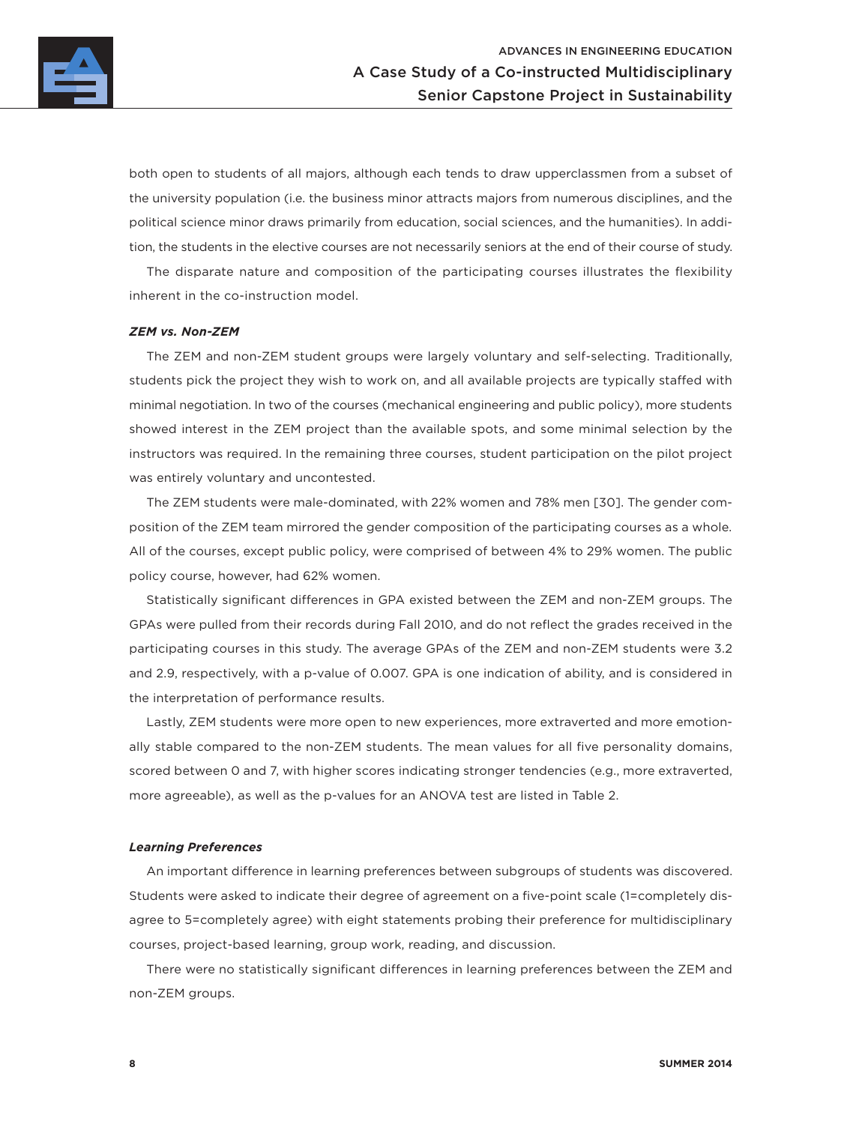

both open to students of all majors, although each tends to draw upperclassmen from a subset of the university population (i.e. the business minor attracts majors from numerous disciplines, and the political science minor draws primarily from education, social sciences, and the humanities). In addition, the students in the elective courses are not necessarily seniors at the end of their course of study.

The disparate nature and composition of the participating courses illustrates the flexibility inherent in the co-instruction model.

### *ZEM vs. Non-ZEM*

The ZEM and non-ZEM student groups were largely voluntary and self-selecting. Traditionally, students pick the project they wish to work on, and all available projects are typically staffed with minimal negotiation. In two of the courses (mechanical engineering and public policy), more students showed interest in the ZEM project than the available spots, and some minimal selection by the instructors was required. In the remaining three courses, student participation on the pilot project was entirely voluntary and uncontested.

The ZEM students were male-dominated, with 22% women and 78% men [30]. The gender composition of the ZEM team mirrored the gender composition of the participating courses as a whole. All of the courses, except public policy, were comprised of between 4% to 29% women. The public policy course, however, had 62% women.

Statistically significant differences in GPA existed between the ZEM and non-ZEM groups. The GPAs were pulled from their records during Fall 2010, and do not reflect the grades received in the participating courses in this study. The average GPAs of the ZEM and non-ZEM students were 3.2 and 2.9, respectively, with a p-value of 0.007. GPA is one indication of ability, and is considered in the interpretation of performance results.

Lastly, ZEM students were more open to new experiences, more extraverted and more emotionally stable compared to the non-ZEM students. The mean values for all five personality domains, scored between 0 and 7, with higher scores indicating stronger tendencies (e.g., more extraverted, more agreeable), as well as the p-values for an ANOVA test are listed in Table 2.

### *Learning Preferences*

An important difference in learning preferences between subgroups of students was discovered. Students were asked to indicate their degree of agreement on a five-point scale (1=completely disagree to 5=completely agree) with eight statements probing their preference for multidisciplinary courses, project-based learning, group work, reading, and discussion.

There were no statistically significant differences in learning preferences between the ZEM and non-ZEM groups.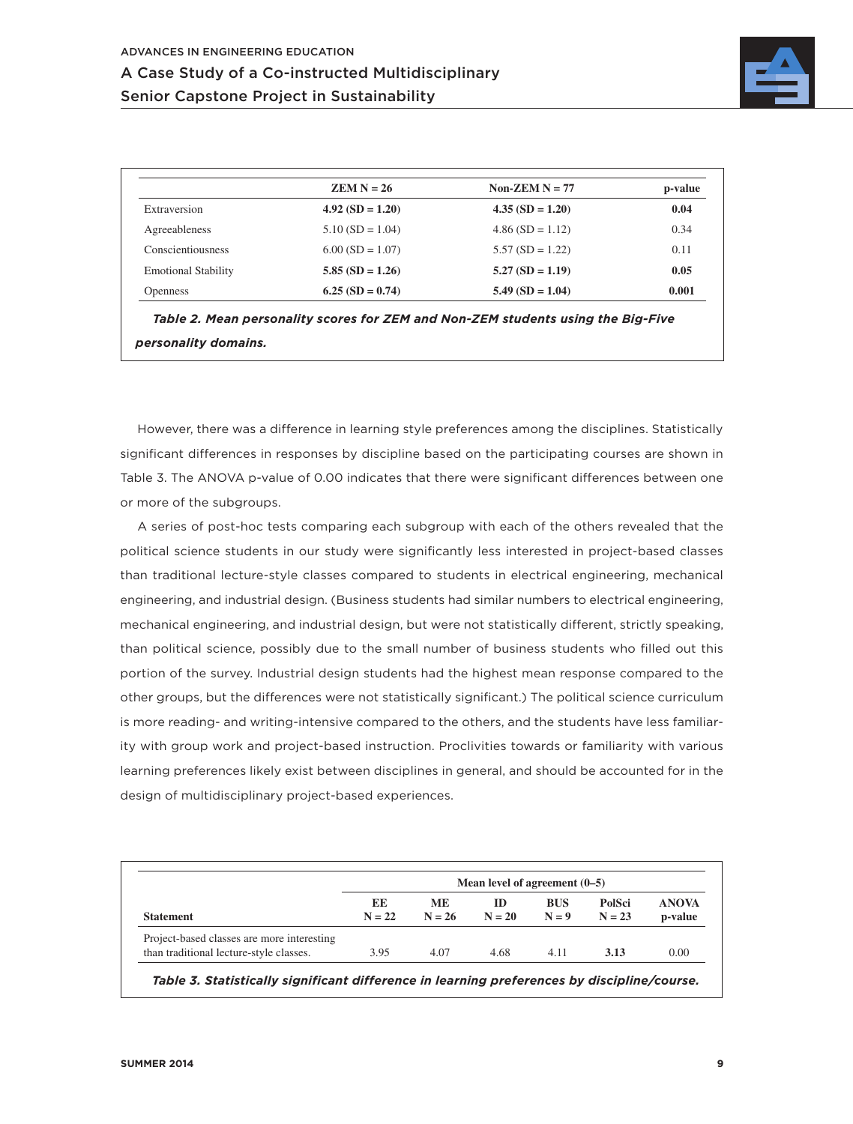

|                            | $ZEM N = 26$       | Non-ZEM $N = 77$   | p-value |
|----------------------------|--------------------|--------------------|---------|
| Extraversion               | $4.92(SD = 1.20)$  | $4.35(SD = 1.20)$  | 0.04    |
| Agreeableness              | $5.10$ (SD = 1.04) | $4.86$ (SD = 1.12) | 0.34    |
| Conscientiousness          | $6.00$ (SD = 1.07) | $5.57(SD = 1.22)$  | 0.11    |
| <b>Emotional Stability</b> | $5.85(SD = 1.26)$  | $5.27(SD = 1.19)$  | 0.05    |
| <b>Openness</b>            | $6.25(SD = 0.74)$  | $5.49$ (SD = 1.04) | 0.001   |

*Table 2. Mean personality scores for ZEM and Non-ZEM students using the Big-Five personality domains.*

However, there was a difference in learning style preferences among the disciplines. Statistically significant differences in responses by discipline based on the participating courses are shown in Table 3. The ANOVA p-value of 0.00 indicates that there were significant differences between one or more of the subgroups.

A series of post-hoc tests comparing each subgroup with each of the others revealed that the political science students in our study were significantly less interested in project-based classes than traditional lecture-style classes compared to students in electrical engineering, mechanical engineering, and industrial design. (Business students had similar numbers to electrical engineering, mechanical engineering, and industrial design, but were not statistically different, strictly speaking, than political science, possibly due to the small number of business students who filled out this portion of the survey. Industrial design students had the highest mean response compared to the other groups, but the differences were not statistically significant.) The political science curriculum is more reading- and writing-intensive compared to the others, and the students have less familiarity with group work and project-based instruction. Proclivities towards or familiarity with various learning preferences likely exist between disciplines in general, and should be accounted for in the design of multidisciplinary project-based experiences.

|                                            | Mean level of agreement $(0-5)$ |                       |                |                       |                    |                         |  |  |
|--------------------------------------------|---------------------------------|-----------------------|----------------|-----------------------|--------------------|-------------------------|--|--|
| <b>Statement</b>                           | EE<br>$N = 22$                  | <b>ME</b><br>$N = 26$ | ID<br>$N = 20$ | <b>BUS</b><br>$N = 9$ | PolSci<br>$N = 23$ | <b>ANOVA</b><br>p-value |  |  |
| Project-based classes are more interesting |                                 |                       |                |                       |                    |                         |  |  |
| than traditional lecture-style classes.    | 3.95                            | 4.07                  | 4.68           | 4.11                  | 3.13               | 0.00                    |  |  |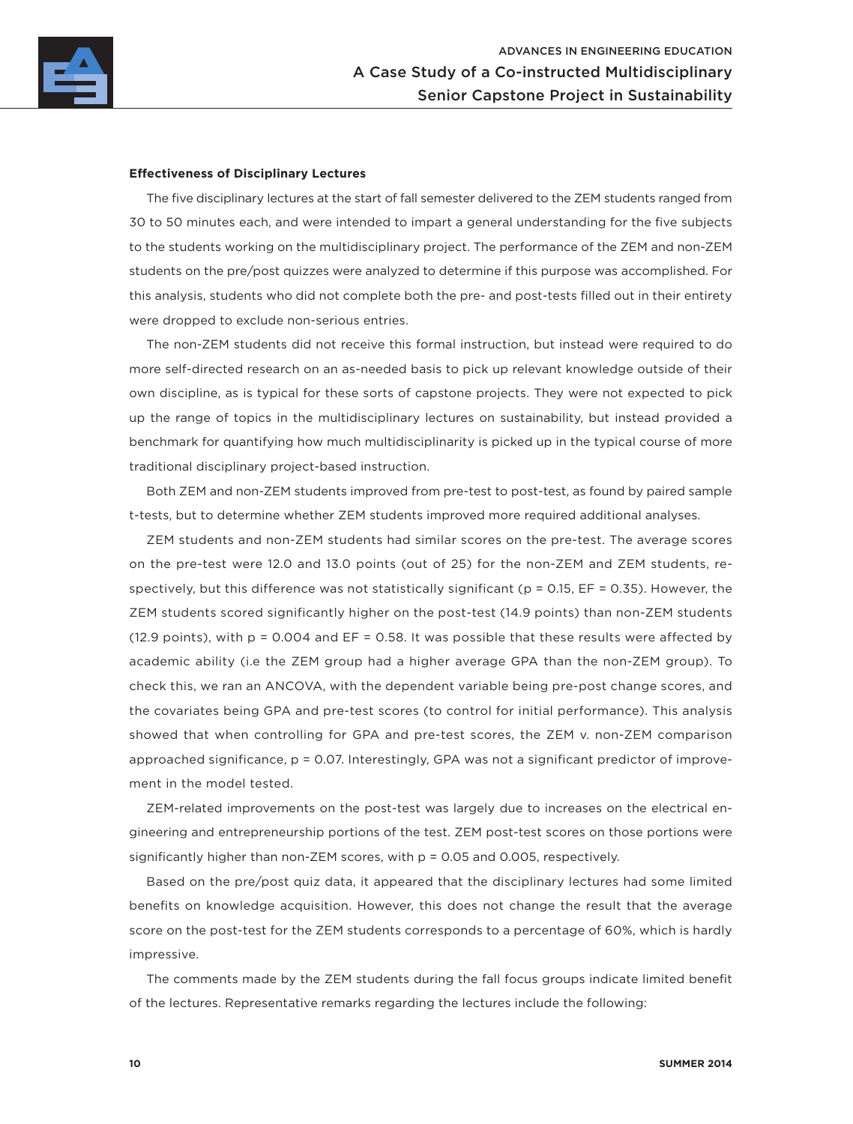

### **Effectiveness of Disciplinary Lectures**

The five disciplinary lectures at the start of fall semester delivered to the ZEM students ranged from 30 to 50 minutes each, and were intended to impart a general understanding for the five subjects to the students working on the multidisciplinary project. The performance of the ZEM and non-ZEM students on the pre/post quizzes were analyzed to determine if this purpose was accomplished. For this analysis, students who did not complete both the pre- and post-tests filled out in their entirety were dropped to exclude non-serious entries.

The non-ZEM students did not receive this formal instruction, but instead were required to do more self-directed research on an as-needed basis to pick up relevant knowledge outside of their own discipline, as is typical for these sorts of capstone projects. They were not expected to pick up the range of topics in the multidisciplinary lectures on sustainability, but instead provided a benchmark for quantifying how much multidisciplinarity is picked up in the typical course of more traditional disciplinary project-based instruction.

Both ZEM and non-ZEM students improved from pre-test to post-test, as found by paired sample t-tests, but to determine whether ZEM students improved more required additional analyses.

ZEM students and non-ZEM students had similar scores on the pre-test. The average scores on the pre-test were 12.0 and 13.0 points (out of 25) for the non-ZEM and ZEM students, respectively, but this difference was not statistically significant ( $p = 0.15$ , EF = 0.35). However, the ZEM students scored significantly higher on the post-test (14.9 points) than non-ZEM students (12.9 points), with  $p = 0.004$  and  $EF = 0.58$ . It was possible that these results were affected by academic ability (i.e the ZEM group had a higher average GPA than the non-ZEM group). To check this, we ran an ANCOVA, with the dependent variable being pre-post change scores, and the covariates being GPA and pre-test scores (to control for initial performance). This analysis showed that when controlling for GPA and pre-test scores, the ZEM v. non-ZEM comparison approached significance, p = 0.07. Interestingly, GPA was not a significant predictor of improvement in the model tested.

ZEM-related improvements on the post-test was largely due to increases on the electrical engineering and entrepreneurship portions of the test. ZEM post-test scores on those portions were significantly higher than non-ZEM scores, with p = 0.05 and 0.005, respectively.

Based on the pre/post quiz data, it appeared that the disciplinary lectures had some limited benefits on knowledge acquisition. However, this does not change the result that the average score on the post-test for the ZEM students corresponds to a percentage of 60%, which is hardly impressive.

The comments made by the ZEM students during the fall focus groups indicate limited benefit of the lectures. Representative remarks regarding the lectures include the following: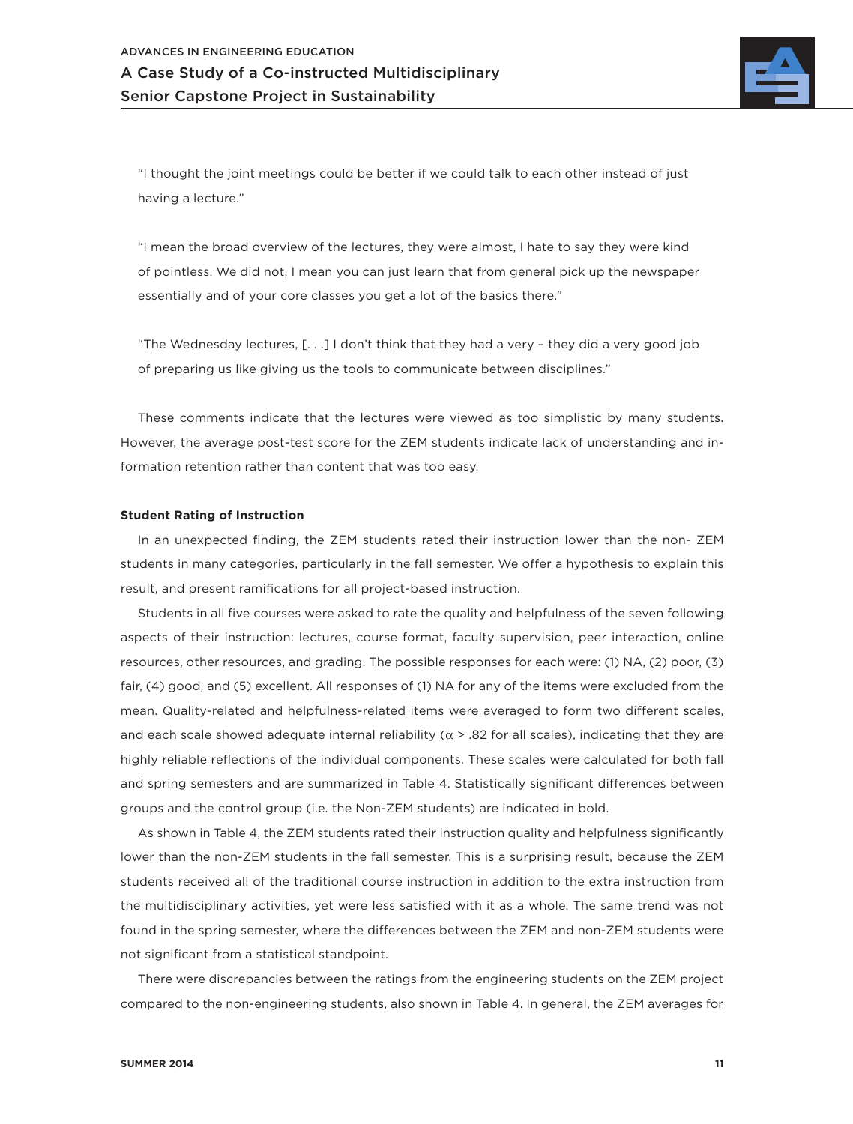

"I thought the joint meetings could be better if we could talk to each other instead of just having a lecture."

"I mean the broad overview of the lectures, they were almost, I hate to say they were kind of pointless. We did not, I mean you can just learn that from general pick up the newspaper essentially and of your core classes you get a lot of the basics there."

"The Wednesday lectures, [. . .] I don't think that they had a very – they did a very good job of preparing us like giving us the tools to communicate between disciplines."

These comments indicate that the lectures were viewed as too simplistic by many students. However, the average post-test score for the ZEM students indicate lack of understanding and information retention rather than content that was too easy.

### **Student Rating of Instruction**

In an unexpected finding, the ZEM students rated their instruction lower than the non- ZEM students in many categories, particularly in the fall semester. We offer a hypothesis to explain this result, and present ramifications for all project-based instruction.

Students in all five courses were asked to rate the quality and helpfulness of the seven following aspects of their instruction: lectures, course format, faculty supervision, peer interaction, online resources, other resources, and grading. The possible responses for each were: (1) NA, (2) poor, (3) fair, (4) good, and (5) excellent. All responses of (1) NA for any of the items were excluded from the mean. Quality-related and helpfulness-related items were averaged to form two different scales, and each scale showed adequate internal reliability ( $\alpha$  > .82 for all scales), indicating that they are highly reliable reflections of the individual components. These scales were calculated for both fall and spring semesters and are summarized in Table 4. Statistically significant differences between groups and the control group (i.e. the Non-ZEM students) are indicated in bold.

As shown in Table 4, the ZEM students rated their instruction quality and helpfulness significantly lower than the non-ZEM students in the fall semester. This is a surprising result, because the ZEM students received all of the traditional course instruction in addition to the extra instruction from the multidisciplinary activities, yet were less satisfied with it as a whole. The same trend was not found in the spring semester, where the differences between the ZEM and non-ZEM students were not significant from a statistical standpoint.

There were discrepancies between the ratings from the engineering students on the ZEM project compared to the non-engineering students, also shown in Table 4. In general, the ZEM averages for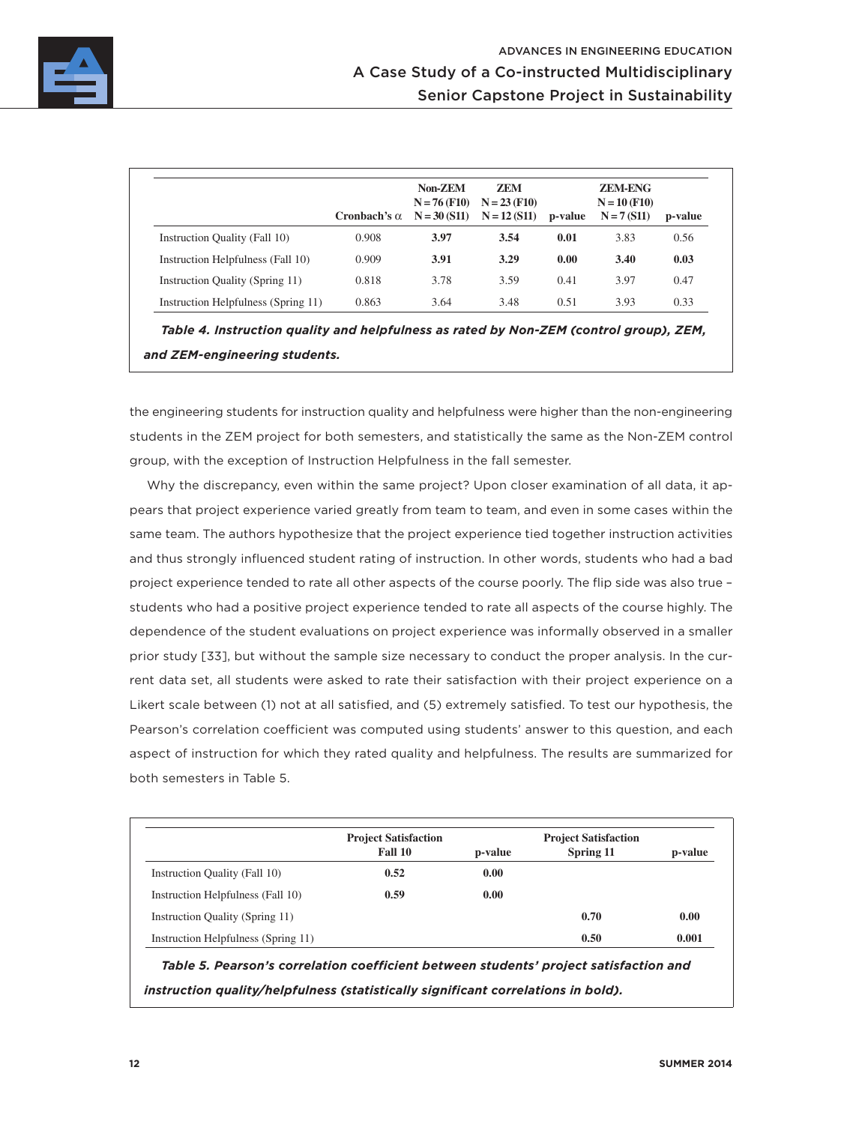

|                                     | Cronbach's $\alpha$ | Non-ZEM<br>$N = 76$ (F10)<br>$N = 30 (S11)$ | <b>ZEM</b><br>$N = 23$ (F10)<br>$N = 12(S11)$ | p-value | <b>ZEM-ENG</b><br>$N = 10$ (F10)<br>$N = 7(S11)$ | p-value |
|-------------------------------------|---------------------|---------------------------------------------|-----------------------------------------------|---------|--------------------------------------------------|---------|
| Instruction Quality (Fall 10)       | 0.908               | 3.97                                        | 3.54                                          | 0.01    | 3.83                                             | 0.56    |
| Instruction Helpfulness (Fall 10)   | 0.909               | 3.91                                        | 3.29                                          | 0.00    | 3.40                                             | 0.03    |
| Instruction Quality (Spring 11)     | 0.818               | 3.78                                        | 3.59                                          | 0.41    | 3.97                                             | 0.47    |
| Instruction Helpfulness (Spring 11) | 0.863               | 3.64                                        | 3.48                                          | 0.51    | 3.93                                             | 0.33    |

*Table 4. Instruction quality and helpfulness as rated by Non-ZEM (control group), ZEM, and ZEM-engineering students.*

the engineering students for instruction quality and helpfulness were higher than the non-engineering students in the ZEM project for both semesters, and statistically the same as the Non-ZEM control group, with the exception of Instruction Helpfulness in the fall semester.

Why the discrepancy, even within the same project? Upon closer examination of all data, it appears that project experience varied greatly from team to team, and even in some cases within the same team. The authors hypothesize that the project experience tied together instruction activities and thus strongly influenced student rating of instruction. In other words, students who had a bad project experience tended to rate all other aspects of the course poorly. The flip side was also true – students who had a positive project experience tended to rate all aspects of the course highly. The dependence of the student evaluations on project experience was informally observed in a smaller prior study [33], but without the sample size necessary to conduct the proper analysis. In the current data set, all students were asked to rate their satisfaction with their project experience on a Likert scale between (1) not at all satisfied, and (5) extremely satisfied. To test our hypothesis, the Pearson's correlation coefficient was computed using students' answer to this question, and each aspect of instruction for which they rated quality and helpfulness. The results are summarized for both semesters in Table 5.

|                                     | <b>Project Satisfaction</b><br>Fall 10 | p-value | <b>Project Satisfaction</b><br>Spring 11 | p-value |
|-------------------------------------|----------------------------------------|---------|------------------------------------------|---------|
| Instruction Quality (Fall 10)       | 0.52                                   | 0.00    |                                          |         |
| Instruction Helpfulness (Fall 10)   | 0.59                                   | 0.00    |                                          |         |
| Instruction Quality (Spring 11)     |                                        |         | 0.70                                     | 0.00    |
| Instruction Helpfulness (Spring 11) |                                        |         | 0.50                                     | 0.001   |

*Table 5. Pearson's correlation coefficient between students' project satisfaction and instruction quality/helpfulness (statistically significant correlations in bold).*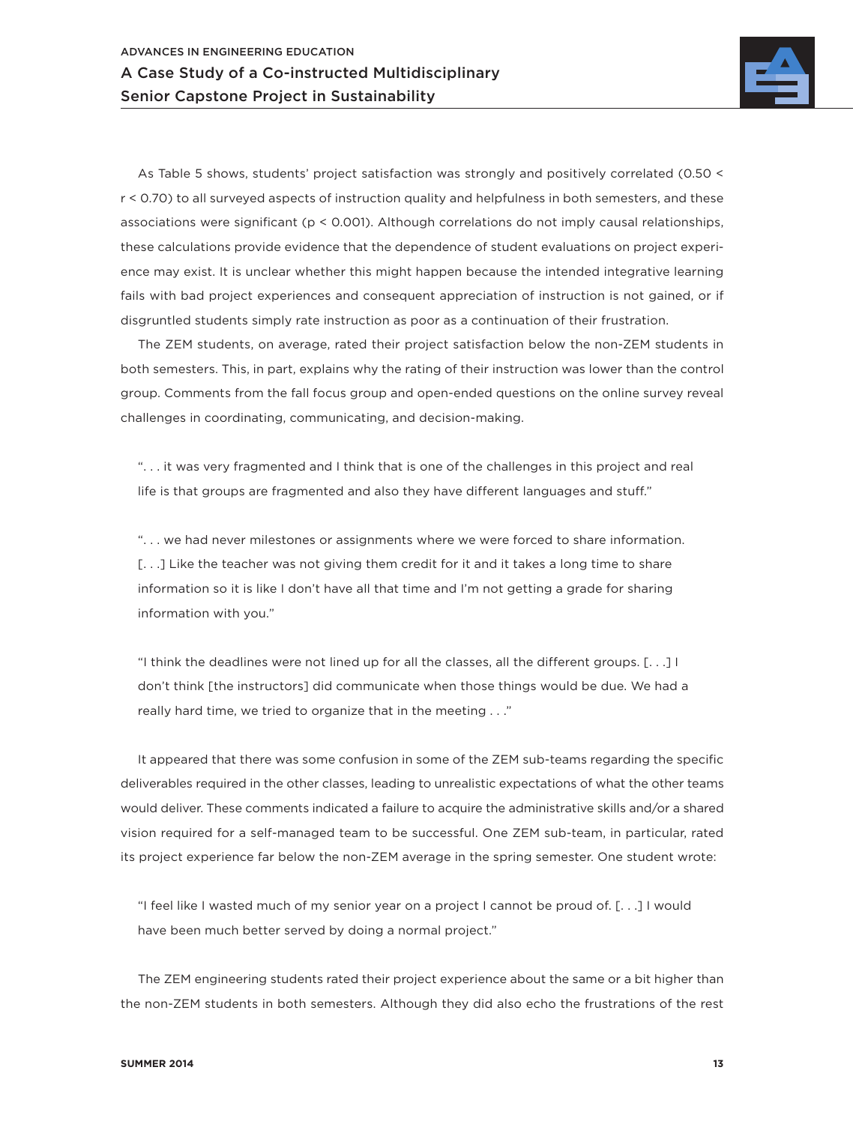

As Table 5 shows, students' project satisfaction was strongly and positively correlated (0.50 < r < 0.70) to all surveyed aspects of instruction quality and helpfulness in both semesters, and these associations were significant (p < 0.001). Although correlations do not imply causal relationships, these calculations provide evidence that the dependence of student evaluations on project experience may exist. It is unclear whether this might happen because the intended integrative learning fails with bad project experiences and consequent appreciation of instruction is not gained, or if disgruntled students simply rate instruction as poor as a continuation of their frustration.

The ZEM students, on average, rated their project satisfaction below the non-ZEM students in both semesters. This, in part, explains why the rating of their instruction was lower than the control group. Comments from the fall focus group and open-ended questions on the online survey reveal challenges in coordinating, communicating, and decision-making.

". . . it was very fragmented and I think that is one of the challenges in this project and real life is that groups are fragmented and also they have different languages and stuff."

". . . we had never milestones or assignments where we were forced to share information. [...] Like the teacher was not giving them credit for it and it takes a long time to share information so it is like I don't have all that time and I'm not getting a grade for sharing information with you."

"I think the deadlines were not lined up for all the classes, all the different groups. [. . .] I don't think [the instructors] did communicate when those things would be due. We had a really hard time, we tried to organize that in the meeting . . ."

It appeared that there was some confusion in some of the ZEM sub-teams regarding the specific deliverables required in the other classes, leading to unrealistic expectations of what the other teams would deliver. These comments indicated a failure to acquire the administrative skills and/or a shared vision required for a self-managed team to be successful. One ZEM sub-team, in particular, rated its project experience far below the non-ZEM average in the spring semester. One student wrote:

"I feel like I wasted much of my senior year on a project I cannot be proud of. [. . .] I would have been much better served by doing a normal project."

The ZEM engineering students rated their project experience about the same or a bit higher than the non-ZEM students in both semesters. Although they did also echo the frustrations of the rest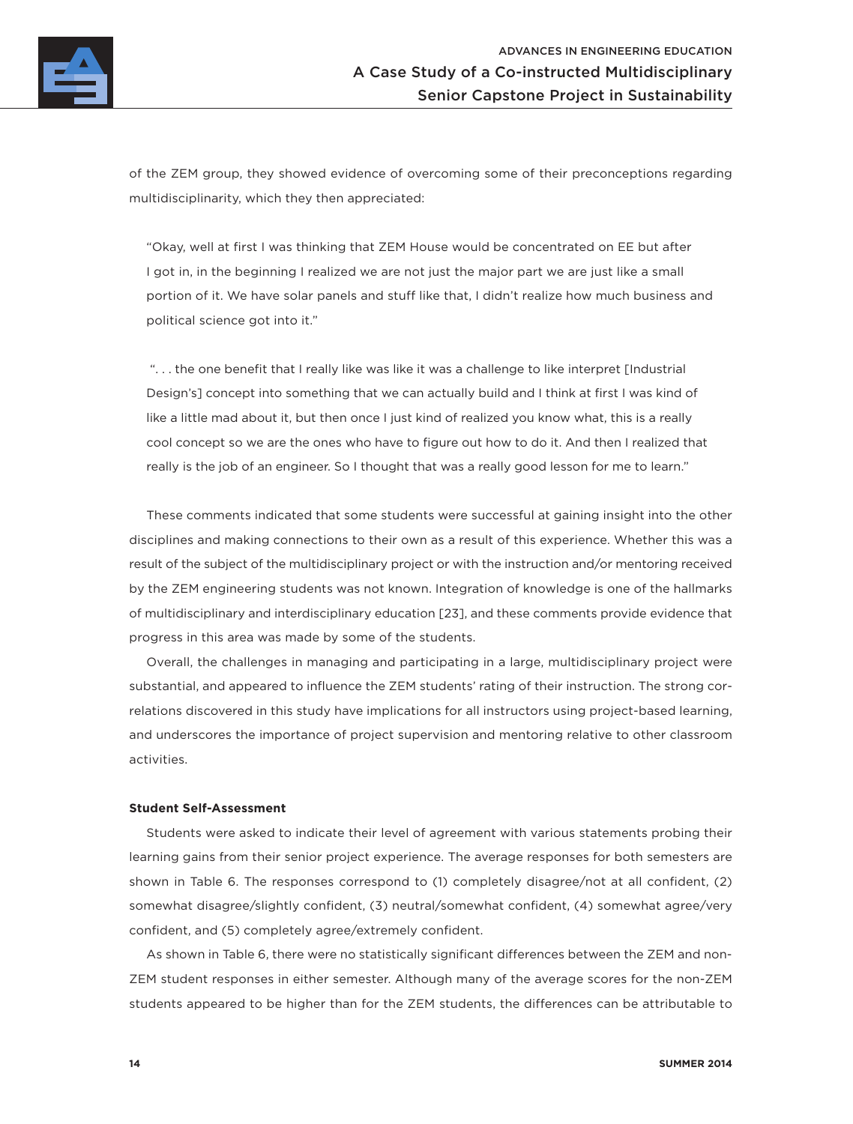

of the ZEM group, they showed evidence of overcoming some of their preconceptions regarding multidisciplinarity, which they then appreciated:

"Okay, well at first I was thinking that ZEM House would be concentrated on EE but after I got in, in the beginning I realized we are not just the major part we are just like a small portion of it. We have solar panels and stuff like that, I didn't realize how much business and political science got into it."

 ". . . the one benefit that I really like was like it was a challenge to like interpret [Industrial Design's] concept into something that we can actually build and I think at first I was kind of like a little mad about it, but then once I just kind of realized you know what, this is a really cool concept so we are the ones who have to figure out how to do it. And then I realized that really is the job of an engineer. So I thought that was a really good lesson for me to learn."

These comments indicated that some students were successful at gaining insight into the other disciplines and making connections to their own as a result of this experience. Whether this was a result of the subject of the multidisciplinary project or with the instruction and/or mentoring received by the ZEM engineering students was not known. Integration of knowledge is one of the hallmarks of multidisciplinary and interdisciplinary education [23], and these comments provide evidence that progress in this area was made by some of the students.

Overall, the challenges in managing and participating in a large, multidisciplinary project were substantial, and appeared to influence the ZEM students' rating of their instruction. The strong correlations discovered in this study have implications for all instructors using project-based learning, and underscores the importance of project supervision and mentoring relative to other classroom activities.

### **Student Self-Assessment**

Students were asked to indicate their level of agreement with various statements probing their learning gains from their senior project experience. The average responses for both semesters are shown in Table 6. The responses correspond to (1) completely disagree/not at all confident, (2) somewhat disagree/slightly confident, (3) neutral/somewhat confident, (4) somewhat agree/very confident, and (5) completely agree/extremely confident.

As shown in Table 6, there were no statistically significant differences between the ZEM and non-ZEM student responses in either semester. Although many of the average scores for the non-ZEM students appeared to be higher than for the ZEM students, the differences can be attributable to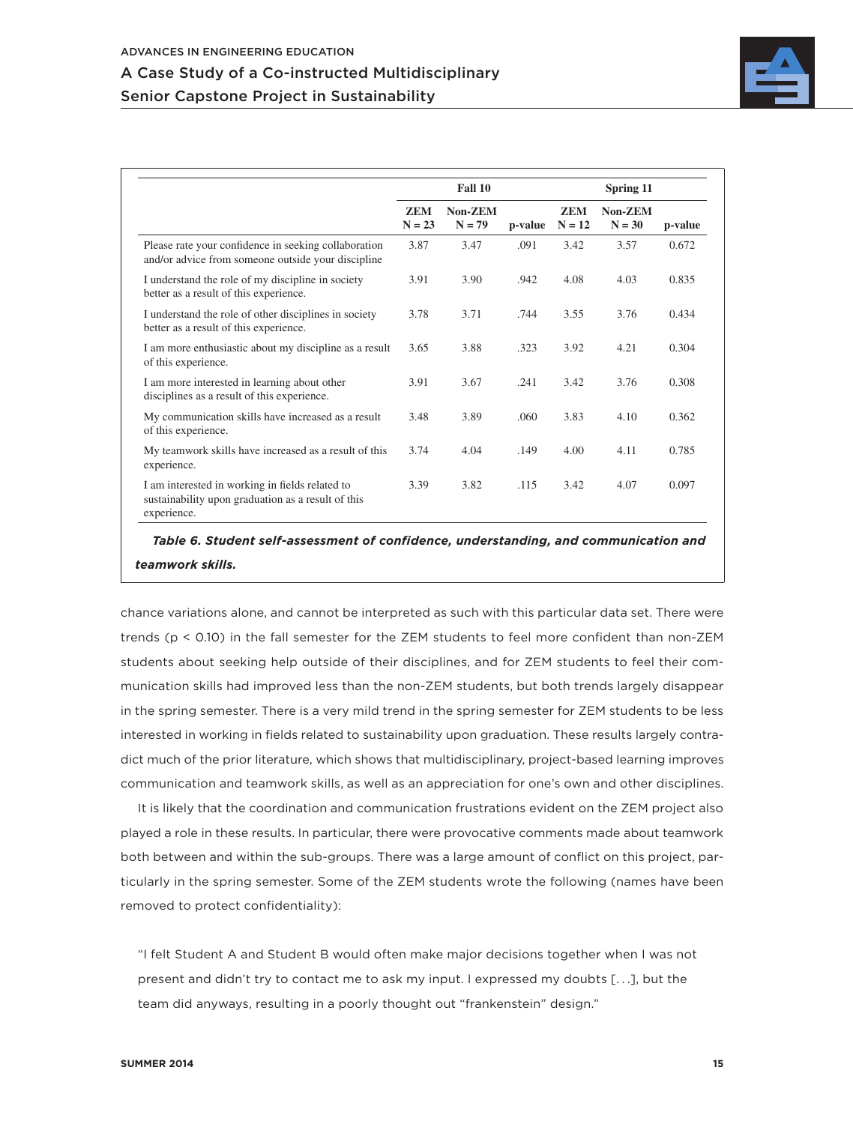## A Case Study of a Co-instructed Multidisciplinary Senior Capstone Project in Sustainability



|                                                                                                                      | Fall 10                |                     |         | Spring 11              |                     |         |
|----------------------------------------------------------------------------------------------------------------------|------------------------|---------------------|---------|------------------------|---------------------|---------|
|                                                                                                                      | <b>ZEM</b><br>$N = 23$ | Non-ZEM<br>$N = 79$ | p-value | <b>ZEM</b><br>$N = 12$ | Non-ZEM<br>$N = 30$ | p-value |
| Please rate your confidence in seeking collaboration<br>and/or advice from someone outside your discipline           | 3.87                   | 3.47                | .091    | 3.42                   | 3.57                | 0.672   |
| I understand the role of my discipline in society<br>better as a result of this experience.                          | 3.91                   | 3.90                | .942    | 4.08                   | 4.03                | 0.835   |
| I understand the role of other disciplines in society<br>better as a result of this experience.                      | 3.78                   | 3.71                | .744    | 3.55                   | 3.76                | 0.434   |
| I am more enthusiastic about my discipline as a result<br>of this experience.                                        | 3.65                   | 3.88                | .323    | 3.92                   | 4.21                | 0.304   |
| I am more interested in learning about other<br>disciplines as a result of this experience.                          | 3.91                   | 3.67                | .241    | 3.42                   | 3.76                | 0.308   |
| My communication skills have increased as a result<br>of this experience.                                            | 3.48                   | 3.89                | .060    | 3.83                   | 4.10                | 0.362   |
| My teamwork skills have increased as a result of this<br>experience.                                                 | 3.74                   | 4.04                | .149    | 4.00                   | 4.11                | 0.785   |
| I am interested in working in fields related to<br>sustainability upon graduation as a result of this<br>experience. | 3.39                   | 3.82                | .115    | 3.42                   | 4.07                | 0.097   |

*Table 6. Student self-assessment of confidence, understanding, and communication and teamwork skills.*

chance variations alone, and cannot be interpreted as such with this particular data set. There were trends (p < 0.10) in the fall semester for the ZEM students to feel more confident than non-ZEM students about seeking help outside of their disciplines, and for ZEM students to feel their communication skills had improved less than the non-ZEM students, but both trends largely disappear in the spring semester. There is a very mild trend in the spring semester for ZEM students to be less interested in working in fields related to sustainability upon graduation. These results largely contradict much of the prior literature, which shows that multidisciplinary, project-based learning improves communication and teamwork skills, as well as an appreciation for one's own and other disciplines.

It is likely that the coordination and communication frustrations evident on the ZEM project also played a role in these results. In particular, there were provocative comments made about teamwork both between and within the sub-groups. There was a large amount of conflict on this project, particularly in the spring semester. Some of the ZEM students wrote the following (names have been removed to protect confidentiality):

"I felt Student A and Student B would often make major decisions together when I was not present and didn't try to contact me to ask my input. I expressed my doubts [. . .], but the team did anyways, resulting in a poorly thought out "frankenstein" design."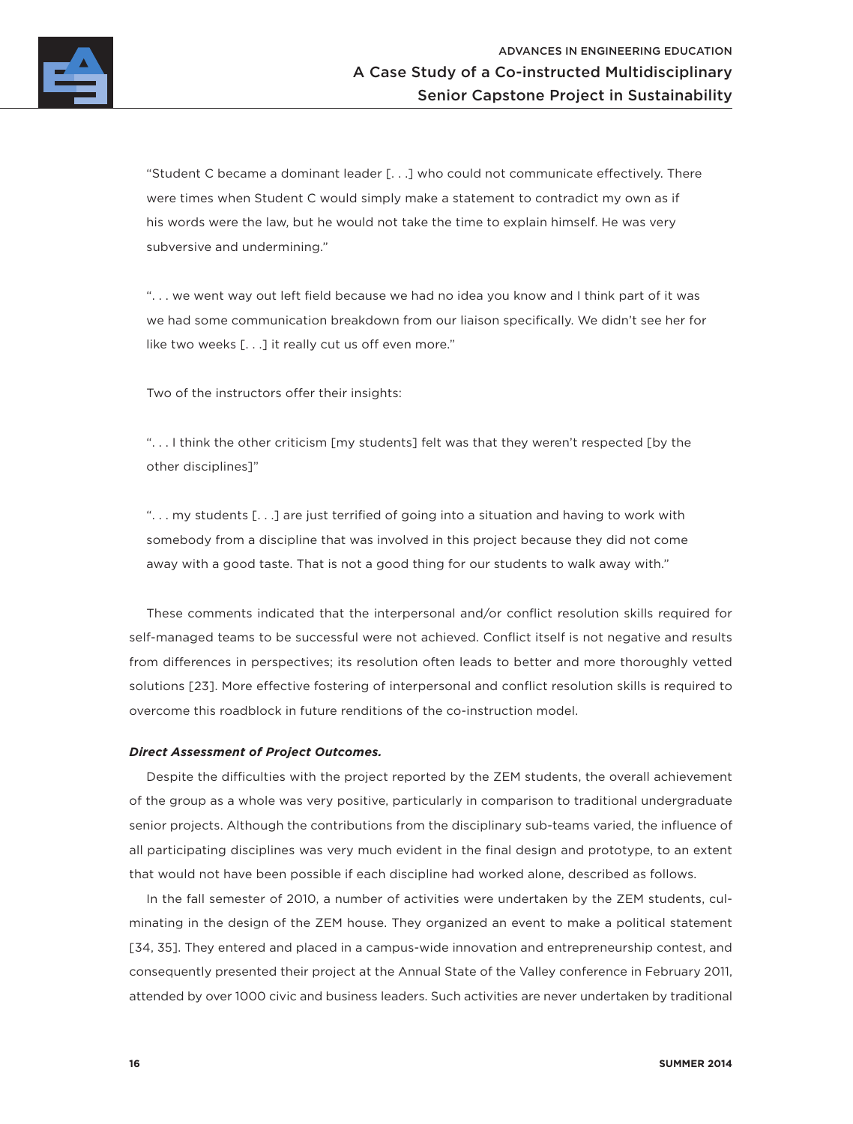

"Student C became a dominant leader [. . .] who could not communicate effectively. There were times when Student C would simply make a statement to contradict my own as if his words were the law, but he would not take the time to explain himself. He was very subversive and undermining."

". . . we went way out left field because we had no idea you know and I think part of it was we had some communication breakdown from our liaison specifically. We didn't see her for like two weeks [. . .] it really cut us off even more."

Two of the instructors offer their insights:

". . . I think the other criticism [my students] felt was that they weren't respected [by the other disciplines]"

". . . my students [. . .] are just terrified of going into a situation and having to work with somebody from a discipline that was involved in this project because they did not come away with a good taste. That is not a good thing for our students to walk away with."

These comments indicated that the interpersonal and/or conflict resolution skills required for self-managed teams to be successful were not achieved. Conflict itself is not negative and results from differences in perspectives; its resolution often leads to better and more thoroughly vetted solutions [23]. More effective fostering of interpersonal and conflict resolution skills is required to overcome this roadblock in future renditions of the co-instruction model.

### *Direct Assessment of Project Outcomes.*

Despite the difficulties with the project reported by the ZEM students, the overall achievement of the group as a whole was very positive, particularly in comparison to traditional undergraduate senior projects. Although the contributions from the disciplinary sub-teams varied, the influence of all participating disciplines was very much evident in the final design and prototype, to an extent that would not have been possible if each discipline had worked alone, described as follows.

In the fall semester of 2010, a number of activities were undertaken by the ZEM students, culminating in the design of the ZEM house. They organized an event to make a political statement [34, 35]. They entered and placed in a campus-wide innovation and entrepreneurship contest, and consequently presented their project at the Annual State of the Valley conference in February 2011, attended by over 1000 civic and business leaders. Such activities are never undertaken by traditional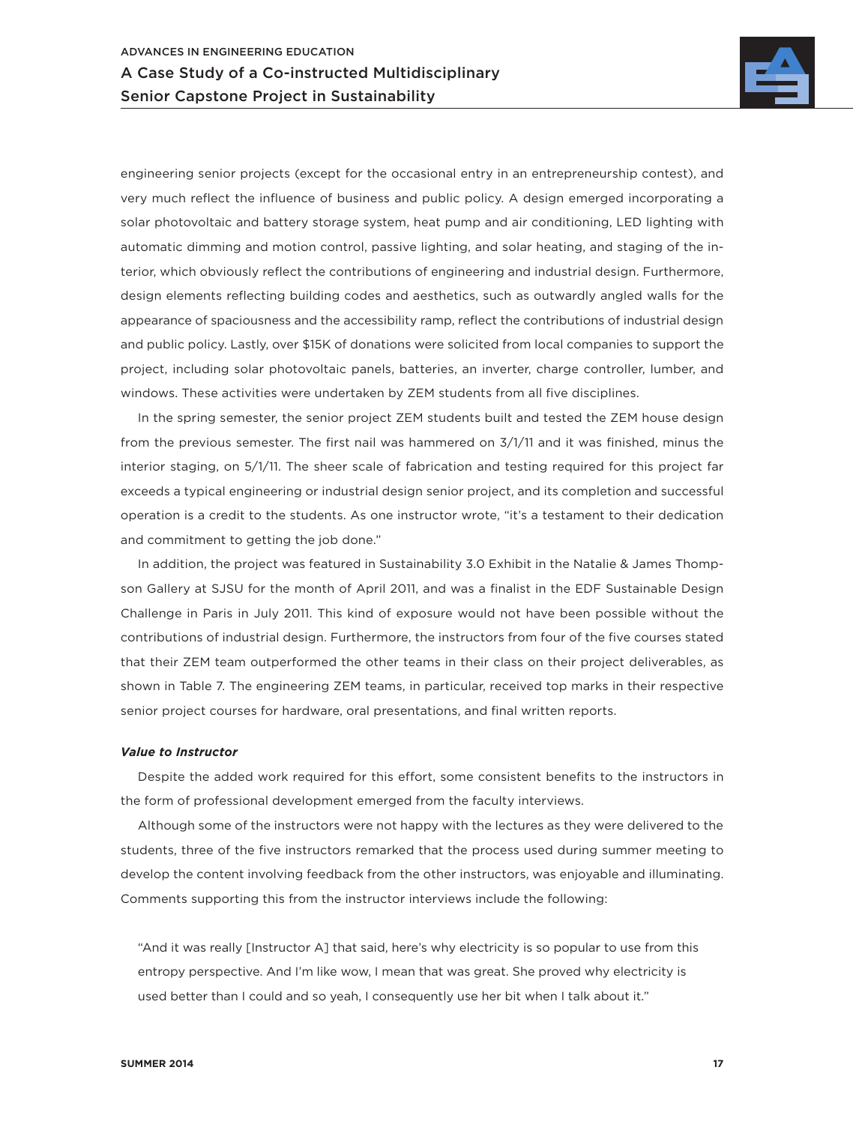

engineering senior projects (except for the occasional entry in an entrepreneurship contest), and very much reflect the influence of business and public policy. A design emerged incorporating a solar photovoltaic and battery storage system, heat pump and air conditioning, LED lighting with automatic dimming and motion control, passive lighting, and solar heating, and staging of the interior, which obviously reflect the contributions of engineering and industrial design. Furthermore, design elements reflecting building codes and aesthetics, such as outwardly angled walls for the appearance of spaciousness and the accessibility ramp, reflect the contributions of industrial design and public policy. Lastly, over \$15K of donations were solicited from local companies to support the project, including solar photovoltaic panels, batteries, an inverter, charge controller, lumber, and windows. These activities were undertaken by ZEM students from all five disciplines.

In the spring semester, the senior project ZEM students built and tested the ZEM house design from the previous semester. The first nail was hammered on 3/1/11 and it was finished, minus the interior staging, on 5/1/11. The sheer scale of fabrication and testing required for this project far exceeds a typical engineering or industrial design senior project, and its completion and successful operation is a credit to the students. As one instructor wrote, "it's a testament to their dedication and commitment to getting the job done."

In addition, the project was featured in Sustainability 3.0 Exhibit in the Natalie & James Thompson Gallery at SJSU for the month of April 2011, and was a finalist in the EDF Sustainable Design Challenge in Paris in July 2011. This kind of exposure would not have been possible without the contributions of industrial design. Furthermore, the instructors from four of the five courses stated that their ZEM team outperformed the other teams in their class on their project deliverables, as shown in Table 7. The engineering ZEM teams, in particular, received top marks in their respective senior project courses for hardware, oral presentations, and final written reports.

#### *Value to Instructor*

Despite the added work required for this effort, some consistent benefits to the instructors in the form of professional development emerged from the faculty interviews.

Although some of the instructors were not happy with the lectures as they were delivered to the students, three of the five instructors remarked that the process used during summer meeting to develop the content involving feedback from the other instructors, was enjoyable and illuminating. Comments supporting this from the instructor interviews include the following:

"And it was really [Instructor A] that said, here's why electricity is so popular to use from this entropy perspective. And I'm like wow, I mean that was great. She proved why electricity is used better than I could and so yeah, I consequently use her bit when I talk about it."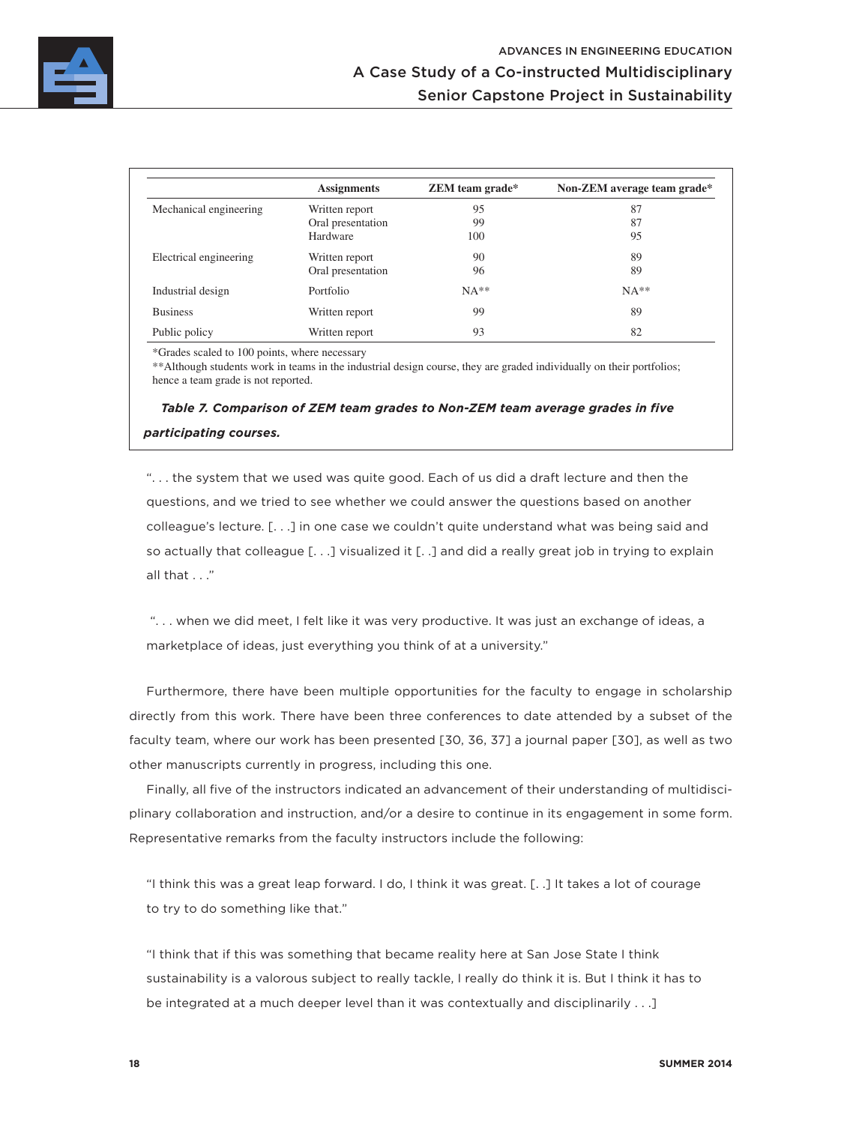

|                        | <b>Assignments</b> | <b>ZEM</b> team grade* | Non-ZEM average team grade* |
|------------------------|--------------------|------------------------|-----------------------------|
| Mechanical engineering | Written report     | 95                     | 87                          |
|                        | Oral presentation  | 99                     | 87                          |
|                        | Hardware           | 100                    | 95                          |
| Electrical engineering | Written report     | 90                     | 89                          |
|                        | Oral presentation  | 96                     | 89                          |
| Industrial design      | Portfolio          | $NA**$                 | $NA**$                      |
| <b>Business</b>        | Written report     | 99                     | 89                          |
| Public policy          | Written report     | 93                     | 82                          |

\*Grades scaled to 100 points, where necessary

\*\*Although students work in teams in the industrial design course, they are graded individually on their portfolios; hence a team grade is not reported.

## *Table 7. Comparison of ZEM team grades to Non-ZEM team average grades in five participating courses.*

". . . the system that we used was quite good. Each of us did a draft lecture and then the questions, and we tried to see whether we could answer the questions based on another colleague's lecture. [. . .] in one case we couldn't quite understand what was being said and so actually that colleague [. . .] visualized it [. .] and did a really great job in trying to explain all that . . ."

 ". . . when we did meet, I felt like it was very productive. It was just an exchange of ideas, a marketplace of ideas, just everything you think of at a university."

Furthermore, there have been multiple opportunities for the faculty to engage in scholarship directly from this work. There have been three conferences to date attended by a subset of the faculty team, where our work has been presented [30, 36, 37] a journal paper [30], as well as two other manuscripts currently in progress, including this one.

Finally, all five of the instructors indicated an advancement of their understanding of multidisciplinary collaboration and instruction, and/or a desire to continue in its engagement in some form. Representative remarks from the faculty instructors include the following:

"I think this was a great leap forward. I do, I think it was great. [. .] It takes a lot of courage to try to do something like that."

"I think that if this was something that became reality here at San Jose State I think sustainability is a valorous subject to really tackle, I really do think it is. But I think it has to be integrated at a much deeper level than it was contextually and disciplinarily . . .]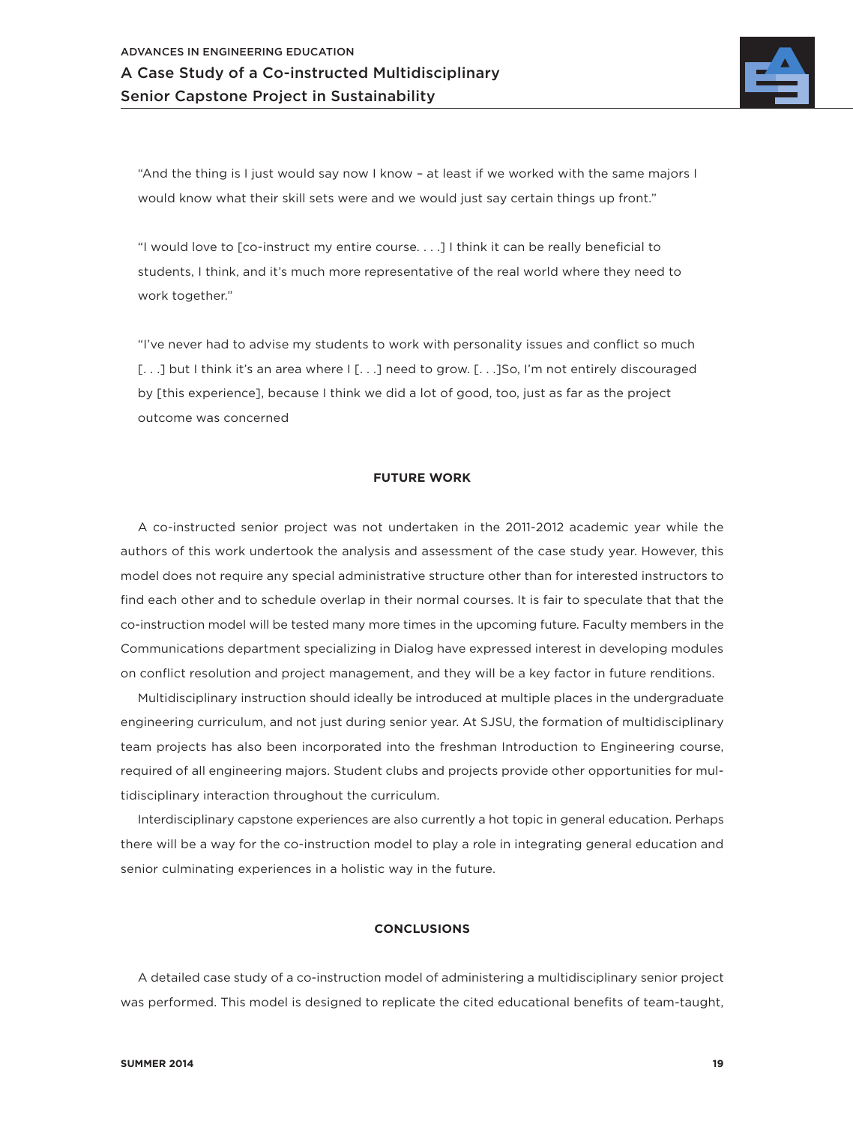

"And the thing is I just would say now I know – at least if we worked with the same majors I would know what their skill sets were and we would just say certain things up front."

"I would love to [co-instruct my entire course. . . .] I think it can be really beneficial to students, I think, and it's much more representative of the real world where they need to work together."

"I've never had to advise my students to work with personality issues and conflict so much [...] but I think it's an area where I [...] need to grow. [...] So, I'm not entirely discouraged by [this experience], because I think we did a lot of good, too, just as far as the project outcome was concerned

## **FUTURE WORK**

A co-instructed senior project was not undertaken in the 2011-2012 academic year while the authors of this work undertook the analysis and assessment of the case study year. However, this model does not require any special administrative structure other than for interested instructors to find each other and to schedule overlap in their normal courses. It is fair to speculate that that the co-instruction model will be tested many more times in the upcoming future. Faculty members in the Communications department specializing in Dialog have expressed interest in developing modules on conflict resolution and project management, and they will be a key factor in future renditions.

Multidisciplinary instruction should ideally be introduced at multiple places in the undergraduate engineering curriculum, and not just during senior year. At SJSU, the formation of multidisciplinary team projects has also been incorporated into the freshman Introduction to Engineering course, required of all engineering majors. Student clubs and projects provide other opportunities for multidisciplinary interaction throughout the curriculum.

Interdisciplinary capstone experiences are also currently a hot topic in general education. Perhaps there will be a way for the co-instruction model to play a role in integrating general education and senior culminating experiences in a holistic way in the future.

### **CONCLUSIONS**

A detailed case study of a co-instruction model of administering a multidisciplinary senior project was performed. This model is designed to replicate the cited educational benefits of team-taught,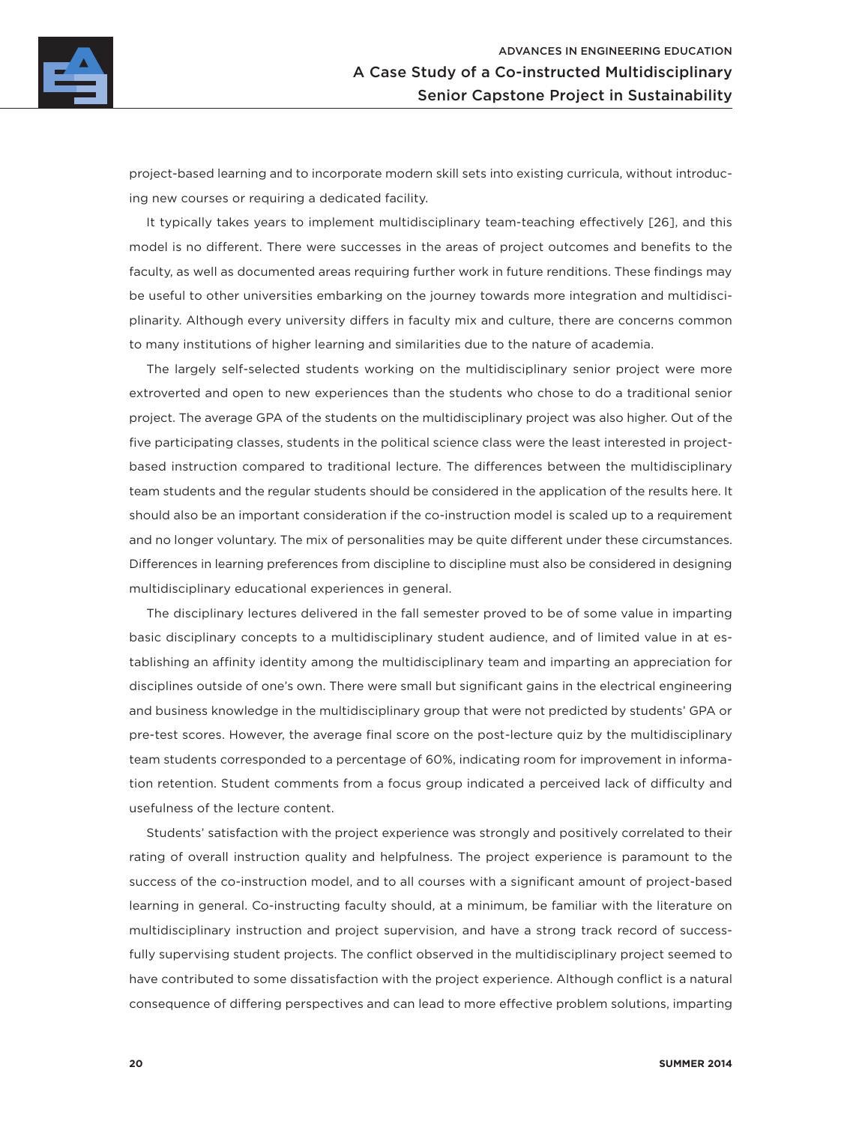

project-based learning and to incorporate modern skill sets into existing curricula, without introducing new courses or requiring a dedicated facility.

It typically takes years to implement multidisciplinary team-teaching effectively [26], and this model is no different. There were successes in the areas of project outcomes and benefits to the faculty, as well as documented areas requiring further work in future renditions. These findings may be useful to other universities embarking on the journey towards more integration and multidisciplinarity. Although every university differs in faculty mix and culture, there are concerns common to many institutions of higher learning and similarities due to the nature of academia.

The largely self-selected students working on the multidisciplinary senior project were more extroverted and open to new experiences than the students who chose to do a traditional senior project. The average GPA of the students on the multidisciplinary project was also higher. Out of the five participating classes, students in the political science class were the least interested in projectbased instruction compared to traditional lecture. The differences between the multidisciplinary team students and the regular students should be considered in the application of the results here. It should also be an important consideration if the co-instruction model is scaled up to a requirement and no longer voluntary. The mix of personalities may be quite different under these circumstances. Differences in learning preferences from discipline to discipline must also be considered in designing multidisciplinary educational experiences in general.

The disciplinary lectures delivered in the fall semester proved to be of some value in imparting basic disciplinary concepts to a multidisciplinary student audience, and of limited value in at establishing an affinity identity among the multidisciplinary team and imparting an appreciation for disciplines outside of one's own. There were small but significant gains in the electrical engineering and business knowledge in the multidisciplinary group that were not predicted by students' GPA or pre-test scores. However, the average final score on the post-lecture quiz by the multidisciplinary team students corresponded to a percentage of 60%, indicating room for improvement in information retention. Student comments from a focus group indicated a perceived lack of difficulty and usefulness of the lecture content.

Students' satisfaction with the project experience was strongly and positively correlated to their rating of overall instruction quality and helpfulness. The project experience is paramount to the success of the co-instruction model, and to all courses with a significant amount of project-based learning in general. Co-instructing faculty should, at a minimum, be familiar with the literature on multidisciplinary instruction and project supervision, and have a strong track record of successfully supervising student projects. The conflict observed in the multidisciplinary project seemed to have contributed to some dissatisfaction with the project experience. Although conflict is a natural consequence of differing perspectives and can lead to more effective problem solutions, imparting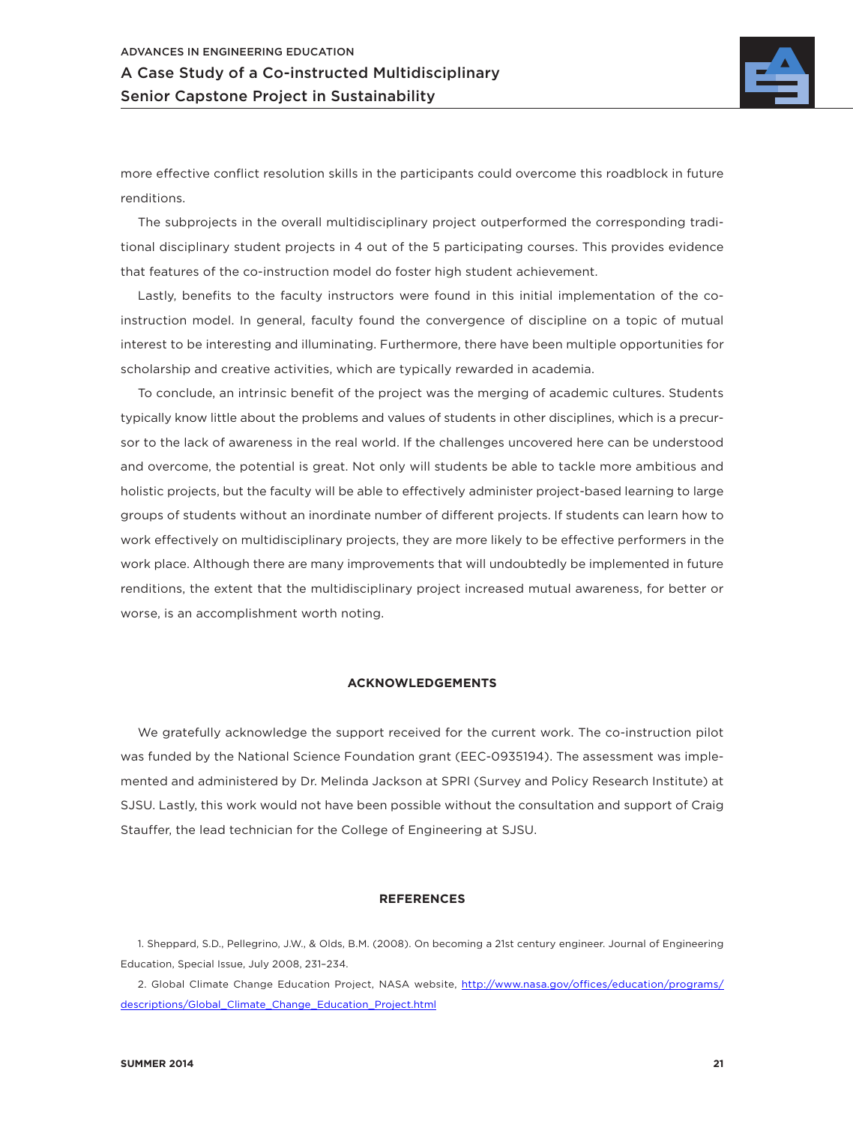

more effective conflict resolution skills in the participants could overcome this roadblock in future renditions.

The subprojects in the overall multidisciplinary project outperformed the corresponding traditional disciplinary student projects in 4 out of the 5 participating courses. This provides evidence that features of the co-instruction model do foster high student achievement.

Lastly, benefits to the faculty instructors were found in this initial implementation of the coinstruction model. In general, faculty found the convergence of discipline on a topic of mutual interest to be interesting and illuminating. Furthermore, there have been multiple opportunities for scholarship and creative activities, which are typically rewarded in academia.

To conclude, an intrinsic benefit of the project was the merging of academic cultures. Students typically know little about the problems and values of students in other disciplines, which is a precursor to the lack of awareness in the real world. If the challenges uncovered here can be understood and overcome, the potential is great. Not only will students be able to tackle more ambitious and holistic projects, but the faculty will be able to effectively administer project-based learning to large groups of students without an inordinate number of different projects. If students can learn how to work effectively on multidisciplinary projects, they are more likely to be effective performers in the work place. Although there are many improvements that will undoubtedly be implemented in future renditions, the extent that the multidisciplinary project increased mutual awareness, for better or worse, is an accomplishment worth noting.

### **ACKNOWLEDGEMENTS**

We gratefully acknowledge the support received for the current work. The co-instruction pilot was funded by the National Science Foundation grant (EEC-0935194). The assessment was implemented and administered by Dr. Melinda Jackson at SPRI (Survey and Policy Research Institute) at SJSU. Lastly, this work would not have been possible without the consultation and support of Craig Stauffer, the lead technician for the College of Engineering at SJSU.

### **REFERENCES**

1. Sheppard, S.D., Pellegrino, J.W., & Olds, B.M. (2008). On becoming a 21st century engineer. Journal of Engineering Education, Special Issue, July 2008, 231–234.

2. Global Climate Change Education Project, NASA website, http://www.nasa.gov/offices/education/programs/ descriptions/Global\_Climate\_Change\_Education\_Project.html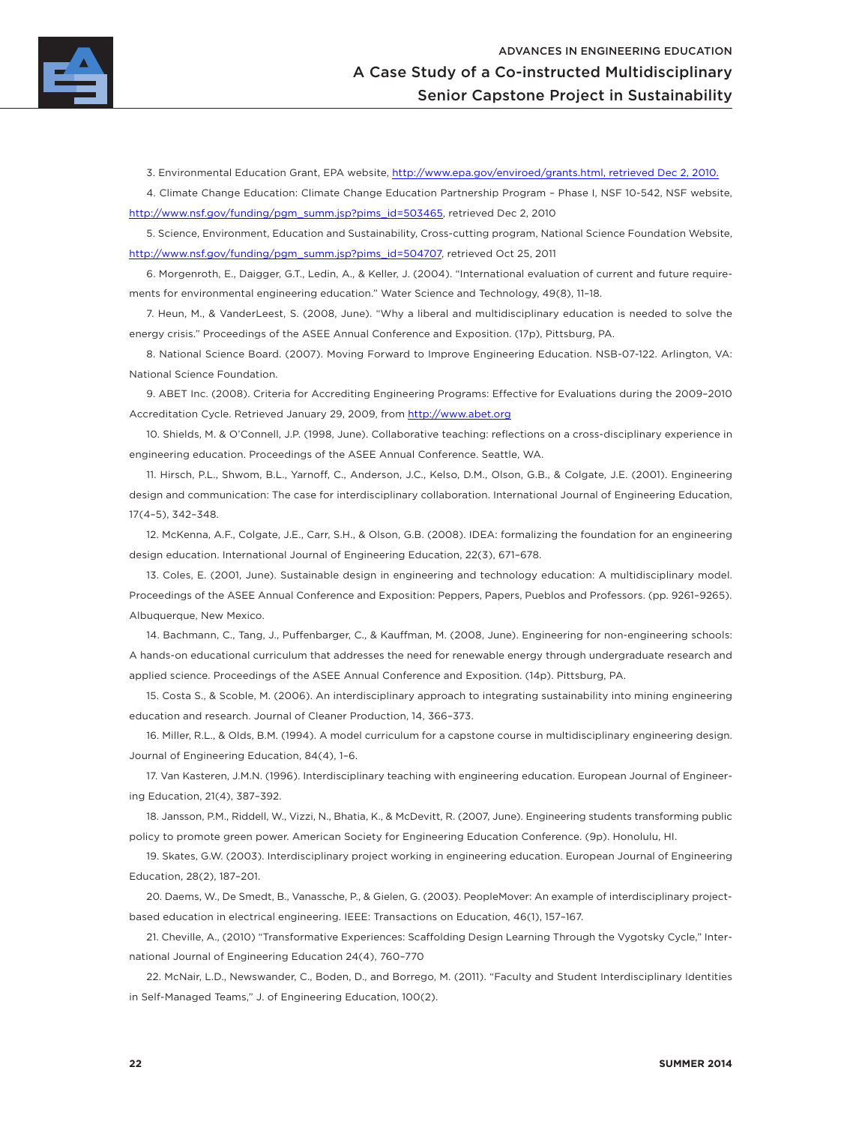

3. Environmental Education Grant, EPA website, http://www.epa.gov/enviroed/grants.html, retrieved Dec 2, 2010.

4. Climate Change Education: Climate Change Education Partnership Program – Phase I, NSF 10-542, NSF website, http://www.nsf.gov/funding/pgm\_summ.jsp?pims\_id=503465, retrieved Dec 2, 2010

5. Science, Environment, Education and Sustainability, Cross-cutting program, National Science Foundation Website, http://www.nsf.gov/funding/pgm\_summ.jsp?pims\_id=504707, retrieved Oct 25, 2011

6. Morgenroth, E., Daigger, G.T., Ledin, A., & Keller, J. (2004). "International evaluation of current and future requirements for environmental engineering education." Water Science and Technology, 49(8), 11–18.

7. Heun, M., & VanderLeest, S. (2008, June). "Why a liberal and multidisciplinary education is needed to solve the energy crisis." Proceedings of the ASEE Annual Conference and Exposition. (17p), Pittsburg, PA.

8. National Science Board. (2007). Moving Forward to Improve Engineering Education. NSB-07-122. Arlington, VA: National Science Foundation.

9. ABET Inc. (2008). Criteria for Accrediting Engineering Programs: Effective for Evaluations during the 2009–2010 Accreditation Cycle. Retrieved January 29, 2009, from http://www.abet.org

10. Shields, M. & O'Connell, J.P. (1998, June). Collaborative teaching: reflections on a cross-disciplinary experience in engineering education. Proceedings of the ASEE Annual Conference. Seattle, WA.

11. Hirsch, P.L., Shwom, B.L., Yarnoff, C., Anderson, J.C., Kelso, D.M., Olson, G.B., & Colgate, J.E. (2001). Engineering design and communication: The case for interdisciplinary collaboration. International Journal of Engineering Education, 17(4–5), 342–348.

12. McKenna, A.F., Colgate, J.E., Carr, S.H., & Olson, G.B. (2008). IDEA: formalizing the foundation for an engineering design education. International Journal of Engineering Education, 22(3), 671–678.

13. Coles, E. (2001, June). Sustainable design in engineering and technology education: A multidisciplinary model. Proceedings of the ASEE Annual Conference and Exposition: Peppers, Papers, Pueblos and Professors. (pp. 9261–9265). Albuquerque, New Mexico.

14. Bachmann, C., Tang, J., Puffenbarger, C., & Kauffman, M. (2008, June). Engineering for non-engineering schools: A hands-on educational curriculum that addresses the need for renewable energy through undergraduate research and applied science. Proceedings of the ASEE Annual Conference and Exposition. (14p). Pittsburg, PA.

15. Costa S., & Scoble, M. (2006). An interdisciplinary approach to integrating sustainability into mining engineering education and research. Journal of Cleaner Production, 14, 366–373.

16. Miller, R.L., & Olds, B.M. (1994). A model curriculum for a capstone course in multidisciplinary engineering design. Journal of Engineering Education, 84(4), 1–6.

17. Van Kasteren, J.M.N. (1996). Interdisciplinary teaching with engineering education. European Journal of Engineering Education, 21(4), 387–392.

18. Jansson, P.M., Riddell, W., Vizzi, N., Bhatia, K., & McDevitt, R. (2007, June). Engineering students transforming public policy to promote green power. American Society for Engineering Education Conference. (9p). Honolulu, HI.

19. Skates, G.W. (2003). Interdisciplinary project working in engineering education. European Journal of Engineering Education, 28(2), 187–201.

20. Daems, W., De Smedt, B., Vanassche, P., & Gielen, G. (2003). PeopleMover: An example of interdisciplinary projectbased education in electrical engineering. IEEE: Transactions on Education, 46(1), 157–167.

21. Cheville, A., (2010) "Transformative Experiences: Scaffolding Design Learning Through the Vygotsky Cycle," International Journal of Engineering Education 24(4), 760–770

22. McNair, L.D., Newswander, C., Boden, D., and Borrego, M. (2011). "Faculty and Student Interdisciplinary Identities in Self-Managed Teams," J. of Engineering Education, 100(2).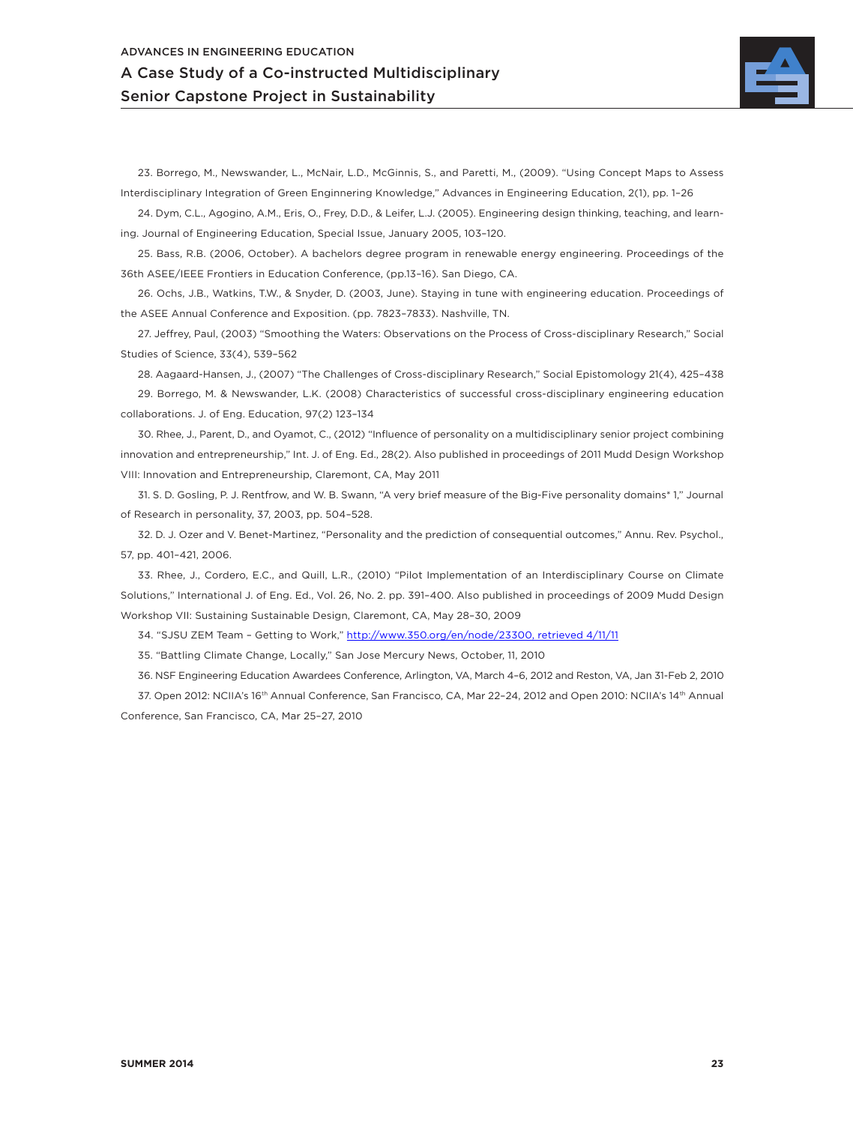

23. Borrego, M., Newswander, L., McNair, L.D., McGinnis, S., and Paretti, M., (2009). "Using Concept Maps to Assess Interdisciplinary Integration of Green Enginnering Knowledge," Advances in Engineering Education, 2(1), pp. 1–26

24. Dym, C.L., Agogino, A.M., Eris, O., Frey, D.D., & Leifer, L.J. (2005). Engineering design thinking, teaching, and learning. Journal of Engineering Education, Special Issue, January 2005, 103–120.

25. Bass, R.B. (2006, October). A bachelors degree program in renewable energy engineering. Proceedings of the 36th ASEE/IEEE Frontiers in Education Conference, (pp.13–16). San Diego, CA.

26. Ochs, J.B., Watkins, T.W., & Snyder, D. (2003, June). Staying in tune with engineering education. Proceedings of the ASEE Annual Conference and Exposition. (pp. 7823–7833). Nashville, TN.

27. Jeffrey, Paul, (2003) "Smoothing the Waters: Observations on the Process of Cross-disciplinary Research," Social Studies of Science, 33(4), 539–562

28. Aagaard-Hansen, J., (2007) "The Challenges of Cross-disciplinary Research," Social Epistomology 21(4), 425–438

29. Borrego, M. & Newswander, L.K. (2008) Characteristics of successful cross-disciplinary engineering education collaborations. J. of Eng. Education, 97(2) 123–134

30. Rhee, J., Parent, D., and Oyamot, C., (2012) "Influence of personality on a multidisciplinary senior project combining innovation and entrepreneurship," Int. J. of Eng. Ed., 28(2). Also published in proceedings of 2011 Mudd Design Workshop VIII: Innovation and Entrepreneurship, Claremont, CA, May 2011

31. S. D. Gosling, P. J. Rentfrow, and W. B. Swann, "A very brief measure of the Big-Five personality domains\* 1," Journal of Research in personality, 37, 2003, pp. 504–528.

32. D. J. Ozer and V. Benet-Martinez, "Personality and the prediction of consequential outcomes," Annu. Rev. Psychol., 57, pp. 401–421, 2006.

33. Rhee, J., Cordero, E.C., and Quill, L.R., (2010) "Pilot Implementation of an Interdisciplinary Course on Climate Solutions," International J. of Eng. Ed., Vol. 26, No. 2. pp. 391–400. Also published in proceedings of 2009 Mudd Design Workshop VII: Sustaining Sustainable Design, Claremont, CA, May 28–30, 2009

34. "SJSU ZEM Team – Getting to Work," http://www.350.org/en/node/23300, retrieved 4/11/11

35. "Battling Climate Change, Locally," San Jose Mercury News, October, 11, 2010

36. NSF Engineering Education Awardees Conference, Arlington, VA, March 4–6, 2012 and Reston, VA, Jan 31-Feb 2, 2010

37. Open 2012: NCIIA's 16th Annual Conference, San Francisco, CA, Mar 22–24, 2012 and Open 2010: NCIIA's 14th Annual Conference, San Francisco, CA, Mar 25–27, 2010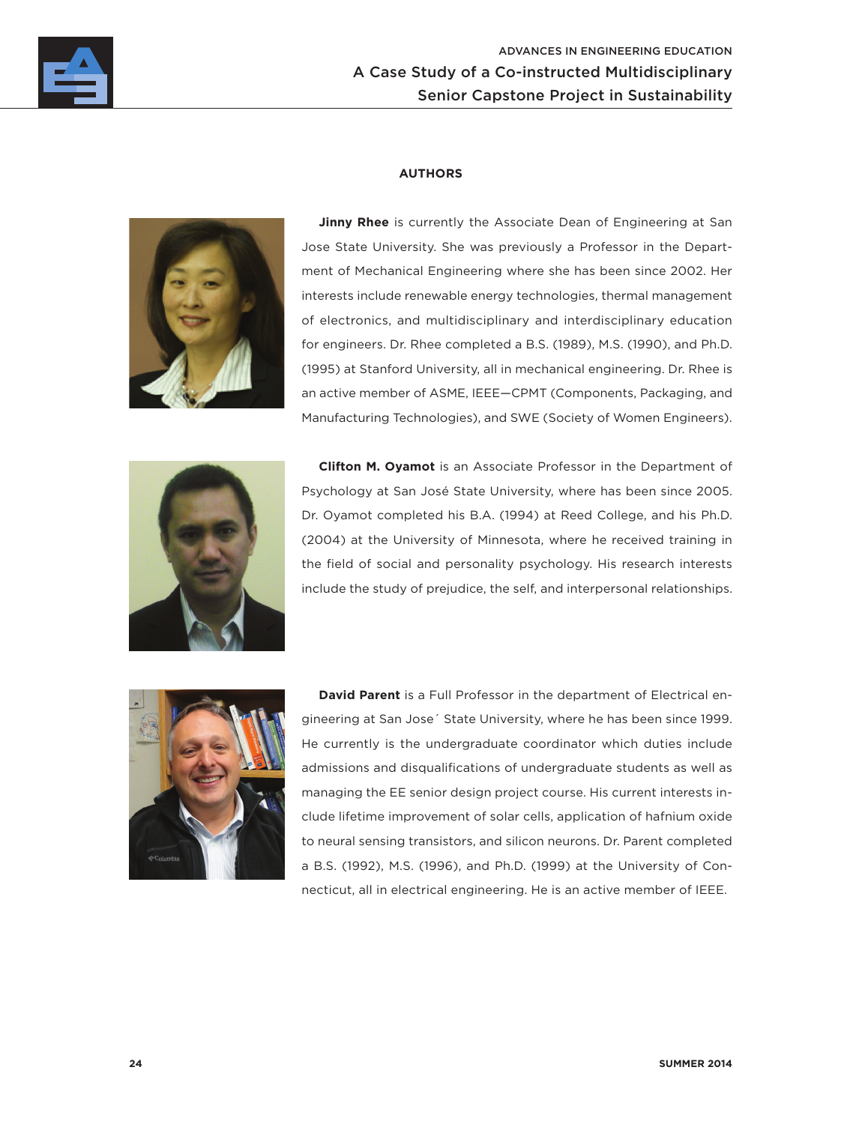

## **AUTHORS**



**Jinny Rhee** is currently the Associate Dean of Engineering at San Jose State University. She was previously a Professor in the Department of Mechanical Engineering where she has been since 2002. Her interests include renewable energy technologies, thermal management of electronics, and multidisciplinary and interdisciplinary education for engineers. Dr. Rhee completed a B.S. (1989), M.S. (1990), and Ph.D. (1995) at Stanford University, all in mechanical engineering. Dr. Rhee is an active member of ASME, IEEE—CPMT (Components, Packaging, and Manufacturing Technologies), and SWE (Society of Women Engineers).



**Clifton M. Oyamot** is an Associate Professor in the Department of Psychology at San José State University, where has been since 2005. Dr. Oyamot completed his B.A. (1994) at Reed College, and his Ph.D. (2004) at the University of Minnesota, where he received training in the field of social and personality psychology. His research interests include the study of prejudice, the self, and interpersonal relationships.



**David Parent** is a Full Professor in the department of Electrical engineering at San Jose´ State University, where he has been since 1999. He currently is the undergraduate coordinator which duties include admissions and disqualifications of undergraduate students as well as managing the EE senior design project course. His current interests include lifetime improvement of solar cells, application of hafnium oxide to neural sensing transistors, and silicon neurons. Dr. Parent completed a B.S. (1992), M.S. (1996), and Ph.D. (1999) at the University of Connecticut, all in electrical engineering. He is an active member of IEEE.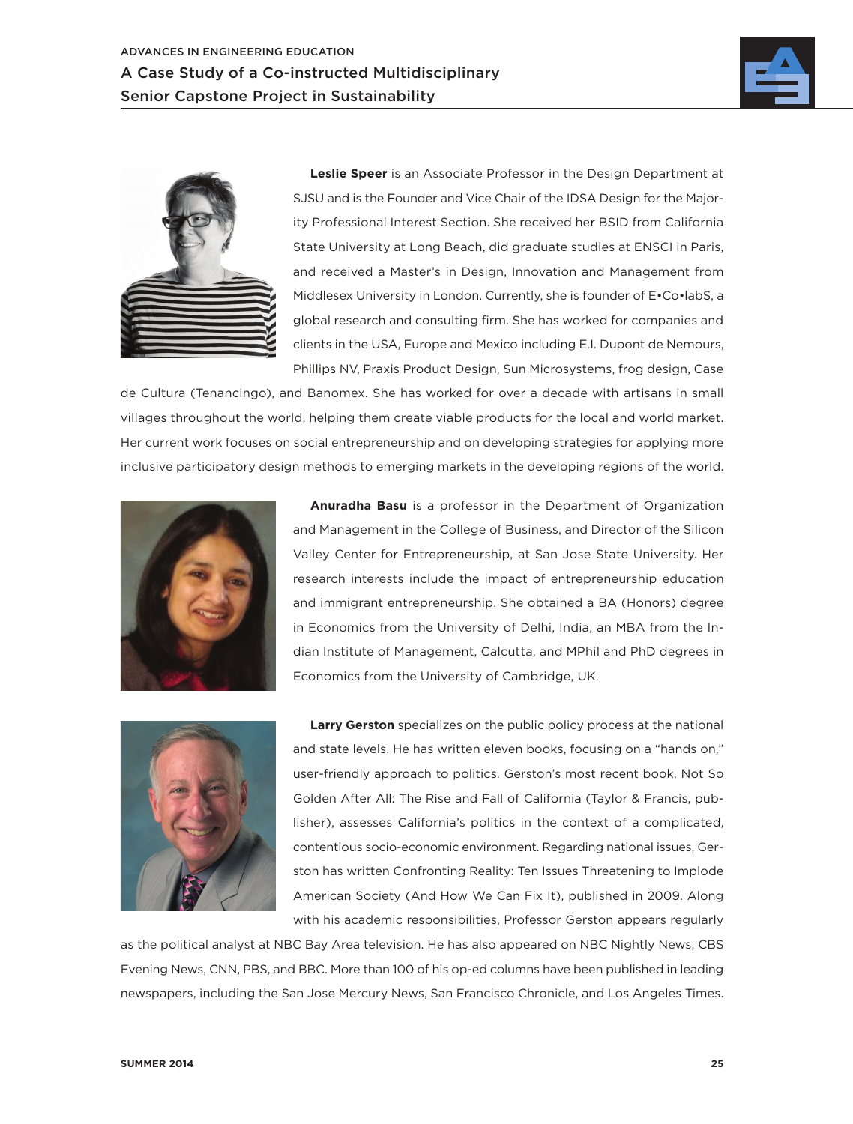



**Leslie Speer** is an Associate Professor in the Design Department at SJSU and is the Founder and Vice Chair of the IDSA Design for the Majority Professional Interest Section. She received her BSID from California State University at Long Beach, did graduate studies at ENSCI in Paris, and received a Master's in Design, Innovation and Management from Middlesex University in London. Currently, she is founder of E•Co•labS, a global research and consulting firm. She has worked for companies and clients in the USA, Europe and Mexico including E.I. Dupont de Nemours, Phillips NV, Praxis Product Design, Sun Microsystems, frog design, Case

de Cultura (Tenancingo), and Banomex. She has worked for over a decade with artisans in small villages throughout the world, helping them create viable products for the local and world market. Her current work focuses on social entrepreneurship and on developing strategies for applying more inclusive participatory design methods to emerging markets in the developing regions of the world.



**Anuradha Basu** is a professor in the Department of Organization and Management in the College of Business, and Director of the Silicon Valley Center for Entrepreneurship, at San Jose State University. Her research interests include the impact of entrepreneurship education and immigrant entrepreneurship. She obtained a BA (Honors) degree in Economics from the University of Delhi, India, an MBA from the Indian Institute of Management, Calcutta, and MPhil and PhD degrees in Economics from the University of Cambridge, UK.



**Larry Gerston** specializes on the public policy process at the national and state levels. He has written eleven books, focusing on a "hands on," user-friendly approach to politics. Gerston's most recent book, Not So Golden After All: The Rise and Fall of California (Taylor & Francis, publisher), assesses California's politics in the context of a complicated, contentious socio-economic environment. Regarding national issues, Gerston has written Confronting Reality: Ten Issues Threatening to Implode American Society (And How We Can Fix It), published in 2009. Along with his academic responsibilities, Professor Gerston appears regularly

as the political analyst at NBC Bay Area television. He has also appeared on NBC Nightly News, CBS Evening News, CNN, PBS, and BBC. More than 100 of his op-ed columns have been published in leading newspapers, including the San Jose Mercury News, San Francisco Chronicle, and Los Angeles Times.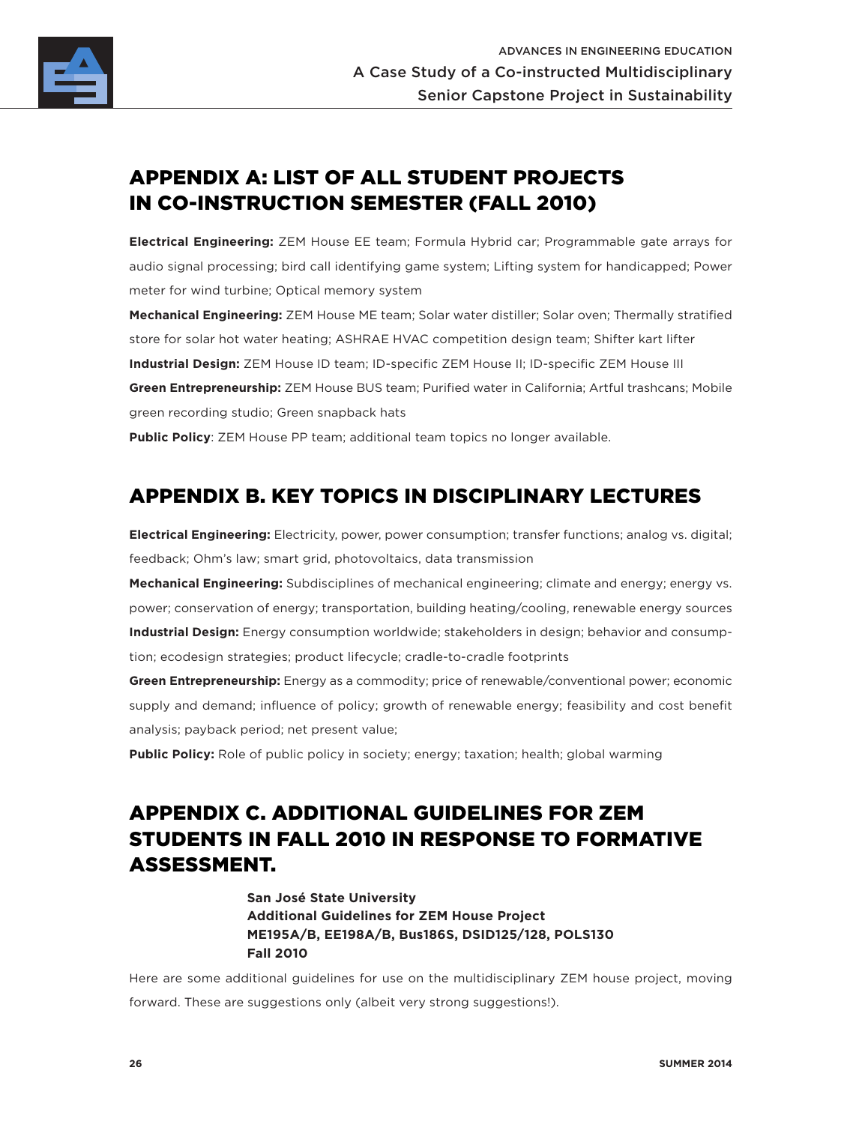

# APPENDIX A: LIST OF ALL STUDENT PROJECTS IN CO-INSTRUCTION SEMESTER (FALL 2010)

**Electrical Engineering:** ZEM House EE team; Formula Hybrid car; Programmable gate arrays for audio signal processing; bird call identifying game system; Lifting system for handicapped; Power meter for wind turbine; Optical memory system

**Mechanical Engineering:** ZEM House ME team; Solar water distiller; Solar oven; Thermally stratified store for solar hot water heating; ASHRAE HVAC competition design team; Shifter kart lifter **Industrial Design:** ZEM House ID team; ID-specific ZEM House II; ID-specific ZEM House III **Green Entrepreneurship:** ZEM House BUS team; Purified water in California; Artful trashcans; Mobile green recording studio; Green snapback hats

**Public Policy**: ZEM House PP team; additional team topics no longer available.

# APPENDIX B. KEY TOPICS IN DISCIPLINARY LECTURES

**Electrical Engineering:** Electricity, power, power consumption; transfer functions; analog vs. digital; feedback; Ohm's law; smart grid, photovoltaics, data transmission

**Mechanical Engineering:** Subdisciplines of mechanical engineering; climate and energy; energy vs. power; conservation of energy; transportation, building heating/cooling, renewable energy sources **Industrial Design:** Energy consumption worldwide; stakeholders in design; behavior and consumption; ecodesign strategies; product lifecycle; cradle-to-cradle footprints

**Green Entrepreneurship:** Energy as a commodity; price of renewable/conventional power; economic supply and demand; influence of policy; growth of renewable energy; feasibility and cost benefit analysis; payback period; net present value;

**Public Policy:** Role of public policy in society; energy; taxation; health; global warming

# APPENDIX C. ADDITIONAL GUIDELINES FOR ZEM STUDENTS IN FALL 2010 IN RESPONSE TO FORMATIVE ASSESSMENT.

**San José State University Additional Guidelines for ZEM House Project ME195A/B, EE198A/B, Bus186S, DSID125/128, POLS130 Fall 2010**

Here are some additional guidelines for use on the multidisciplinary ZEM house project, moving forward. These are suggestions only (albeit very strong suggestions!).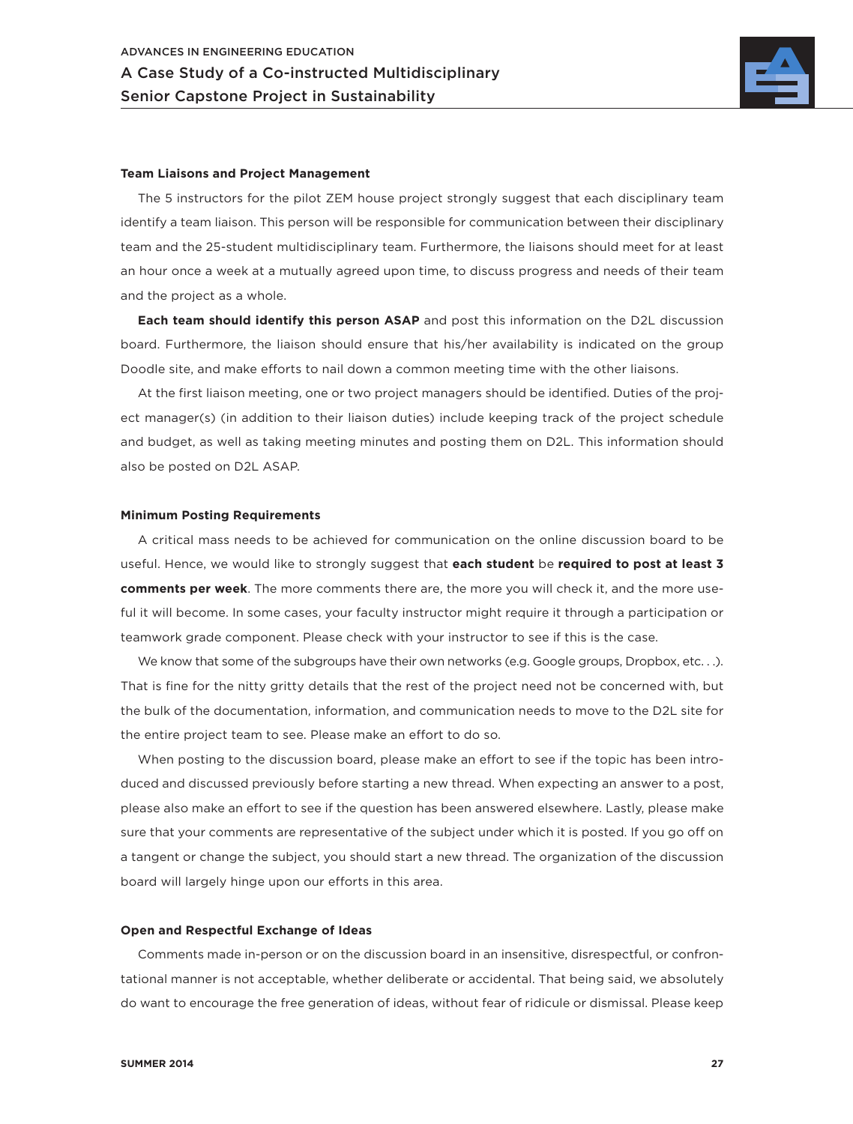

### **Team Liaisons and Project Management**

The 5 instructors for the pilot ZEM house project strongly suggest that each disciplinary team identify a team liaison. This person will be responsible for communication between their disciplinary team and the 25-student multidisciplinary team. Furthermore, the liaisons should meet for at least an hour once a week at a mutually agreed upon time, to discuss progress and needs of their team and the project as a whole.

**Each team should identify this person ASAP** and post this information on the D2L discussion board. Furthermore, the liaison should ensure that his/her availability is indicated on the group Doodle site, and make efforts to nail down a common meeting time with the other liaisons.

At the first liaison meeting, one or two project managers should be identified. Duties of the project manager(s) (in addition to their liaison duties) include keeping track of the project schedule and budget, as well as taking meeting minutes and posting them on D2L. This information should also be posted on D2L ASAP.

#### **Minimum Posting Requirements**

A critical mass needs to be achieved for communication on the online discussion board to be useful. Hence, we would like to strongly suggest that **each student** be **required to post at least 3 comments per week**. The more comments there are, the more you will check it, and the more useful it will become. In some cases, your faculty instructor might require it through a participation or teamwork grade component. Please check with your instructor to see if this is the case.

We know that some of the subgroups have their own networks (e.g. Google groups, Dropbox, etc...). That is fine for the nitty gritty details that the rest of the project need not be concerned with, but the bulk of the documentation, information, and communication needs to move to the D2L site for the entire project team to see. Please make an effort to do so.

When posting to the discussion board, please make an effort to see if the topic has been introduced and discussed previously before starting a new thread. When expecting an answer to a post, please also make an effort to see if the question has been answered elsewhere. Lastly, please make sure that your comments are representative of the subject under which it is posted. If you go off on a tangent or change the subject, you should start a new thread. The organization of the discussion board will largely hinge upon our efforts in this area.

### **Open and Respectful Exchange of Ideas**

Comments made in-person or on the discussion board in an insensitive, disrespectful, or confrontational manner is not acceptable, whether deliberate or accidental. That being said, we absolutely do want to encourage the free generation of ideas, without fear of ridicule or dismissal. Please keep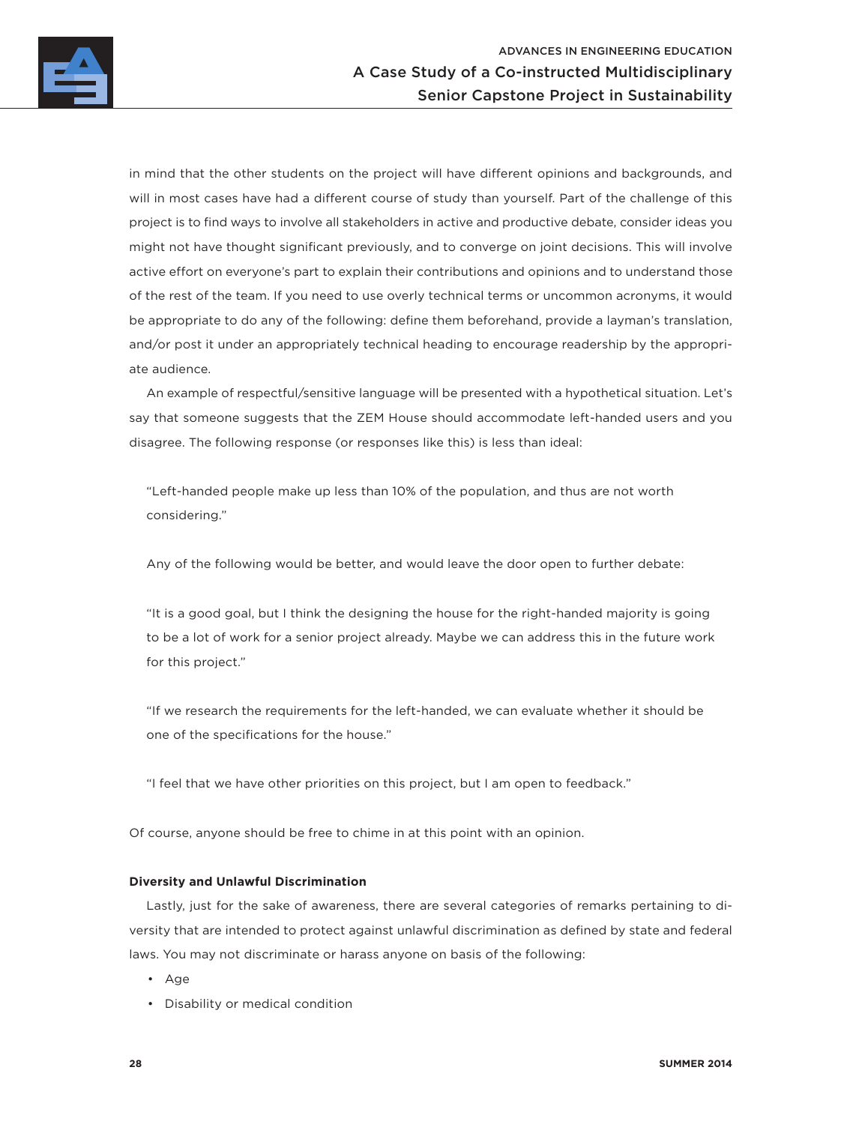

in mind that the other students on the project will have different opinions and backgrounds, and will in most cases have had a different course of study than yourself. Part of the challenge of this project is to find ways to involve all stakeholders in active and productive debate, consider ideas you might not have thought significant previously, and to converge on joint decisions. This will involve active effort on everyone's part to explain their contributions and opinions and to understand those of the rest of the team. If you need to use overly technical terms or uncommon acronyms, it would be appropriate to do any of the following: define them beforehand, provide a layman's translation, and/or post it under an appropriately technical heading to encourage readership by the appropriate audience.

An example of respectful/sensitive language will be presented with a hypothetical situation. Let's say that someone suggests that the ZEM House should accommodate left-handed users and you disagree. The following response (or responses like this) is less than ideal:

"Left-handed people make up less than 10% of the population, and thus are not worth considering."

Any of the following would be better, and would leave the door open to further debate:

"It is a good goal, but I think the designing the house for the right-handed majority is going to be a lot of work for a senior project already. Maybe we can address this in the future work for this project."

"If we research the requirements for the left-handed, we can evaluate whether it should be one of the specifications for the house."

"I feel that we have other priorities on this project, but I am open to feedback."

Of course, anyone should be free to chime in at this point with an opinion.

## **Diversity and Unlawful Discrimination**

Lastly, just for the sake of awareness, there are several categories of remarks pertaining to diversity that are intended to protect against unlawful discrimination as defined by state and federal laws. You may not discriminate or harass anyone on basis of the following:

- Age
- Disability or medical condition